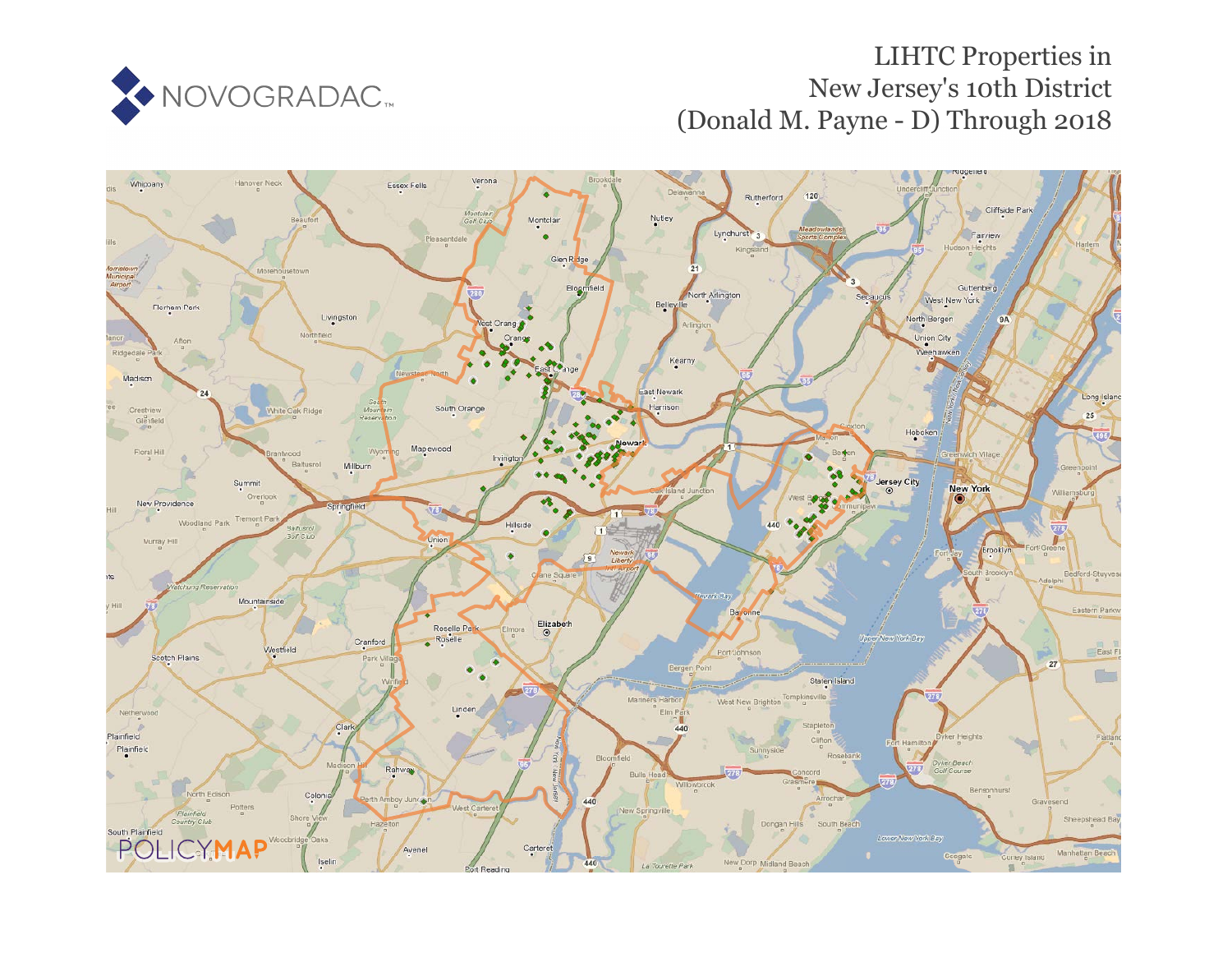

# LIHTC Properties in New Jersey's 10th District (Donald M. Payne - D) Through 2018

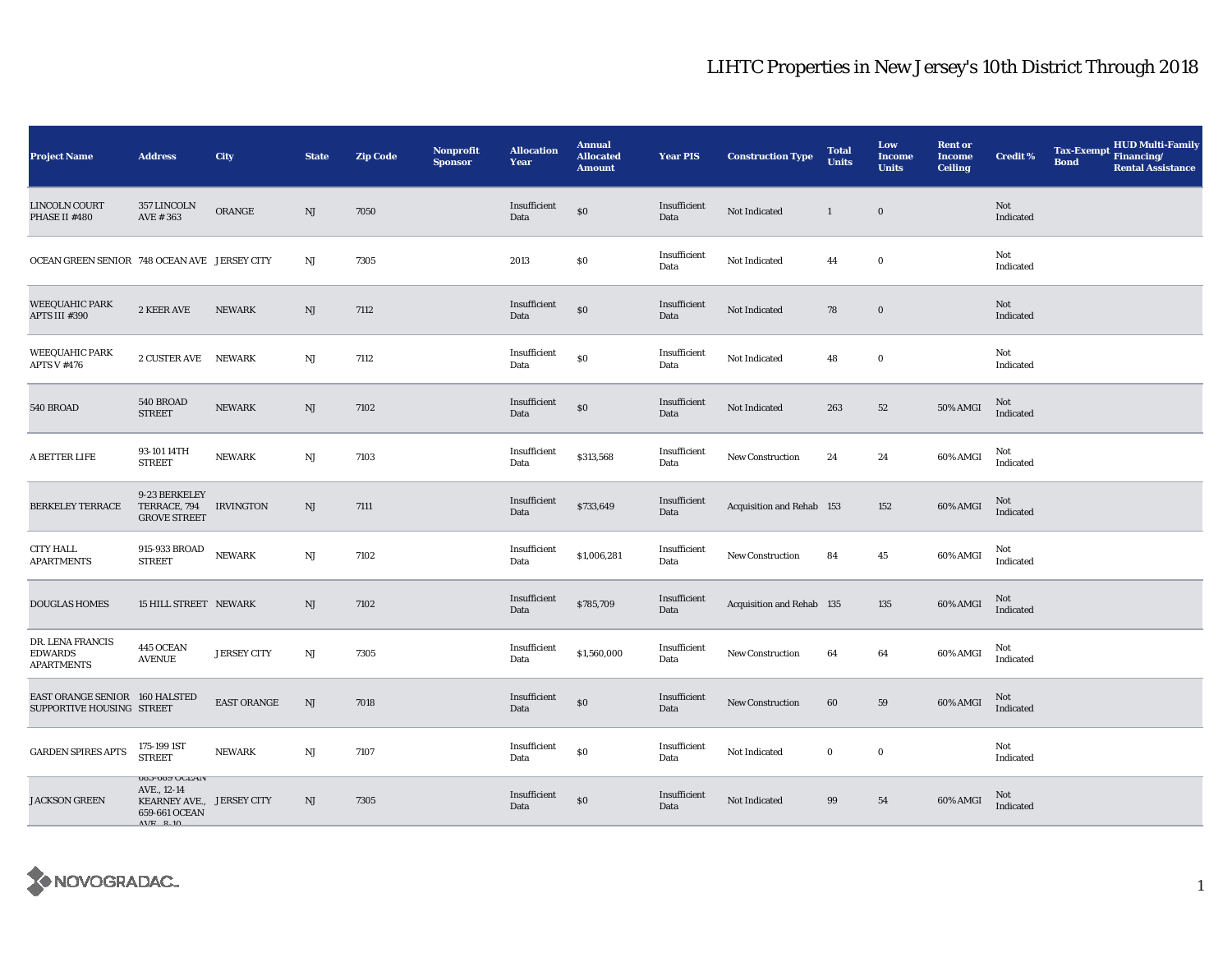| <b>Project Name</b>                                         | <b>Address</b>                                                                                               | <b>City</b>        | <b>State</b>           | <b>Zip Code</b> | Nonprofit<br><b>Sponsor</b> | <b>Allocation</b><br><b>Year</b> | <b>Annual</b><br><b>Allocated</b><br><b>Amount</b> | <b>Year PIS</b>      | <b>Construction Type</b>  | <b>Total</b><br><b>Units</b> | Low<br>Income<br><b>Units</b> | <b>Rent or</b><br><b>Income</b><br><b>Ceiling</b> | <b>Credit %</b>  | <b>Tax-Exempt</b><br><b>Bond</b> | <b>HUD Multi-Family</b><br>Financing/<br><b>Rental Assistance</b> |
|-------------------------------------------------------------|--------------------------------------------------------------------------------------------------------------|--------------------|------------------------|-----------------|-----------------------------|----------------------------------|----------------------------------------------------|----------------------|---------------------------|------------------------------|-------------------------------|---------------------------------------------------|------------------|----------------------------------|-------------------------------------------------------------------|
| LINCOLN COURT<br>PHASE II #480                              | 357 LINCOLN<br>AVE #363                                                                                      | ORANGE             | NJ                     | 7050            |                             | Insufficient<br>Data             | $\$0$                                              | Insufficient<br>Data | Not Indicated             | $\mathbf{1}$                 | $\boldsymbol{0}$              |                                                   | Not<br>Indicated |                                  |                                                                   |
| OCEAN GREEN SENIOR 748 OCEAN AVE JERSEY CITY                |                                                                                                              |                    | $_{\rm NJ}$            | 7305            |                             | 2013                             | $\$0$                                              | Insufficient<br>Data | Not Indicated             | 44                           | $\bf{0}$                      |                                                   | Not<br>Indicated |                                  |                                                                   |
| WEEQUAHIC PARK<br>APTS III #390                             | 2 KEER AVE                                                                                                   | <b>NEWARK</b>      | NJ                     | 7112            |                             | Insufficient<br>Data             | \$0                                                | Insufficient<br>Data | Not Indicated             | 78                           | $\mathbf 0$                   |                                                   | Not<br>Indicated |                                  |                                                                   |
| <b>WEEQUAHIC PARK</b><br><b>APTS V #476</b>                 | 2 CUSTER AVE                                                                                                 | <b>NEWARK</b>      | NJ                     | 7112            |                             | Insufficient<br>Data             | $\$0$                                              | Insufficient<br>Data | Not Indicated             | 48                           | $\bf{0}$                      |                                                   | Not<br>Indicated |                                  |                                                                   |
| 540 BROAD                                                   | 540 BROAD<br><b>STREET</b>                                                                                   | <b>NEWARK</b>      | NJ                     | 7102            |                             | Insufficient<br>Data             | \$0                                                | Insufficient<br>Data | Not Indicated             | 263                          | ${\bf 52}$                    | 50% AMGI                                          | Not<br>Indicated |                                  |                                                                   |
| A BETTER LIFE                                               | 93-101 14TH<br><b>STREET</b>                                                                                 | <b>NEWARK</b>      | $\mathbf{N}\mathbf{J}$ | 7103            |                             | Insufficient<br>Data             | \$313,568                                          | Insufficient<br>Data | <b>New Construction</b>   | 24                           | 24                            | 60% AMGI                                          | Not<br>Indicated |                                  |                                                                   |
| <b>BERKELEY TERRACE</b>                                     | 9-23 BERKELEY<br>TERRACE, 794<br><b>GROVE STREET</b>                                                         | <b>IRVINGTON</b>   | NJ                     | 7111            |                             | Insufficient<br>Data             | \$733,649                                          | Insufficient<br>Data | Acquisition and Rehab 153 |                              | 152                           | 60% AMGI                                          | Not<br>Indicated |                                  |                                                                   |
| <b>CITY HALL</b><br><b>APARTMENTS</b>                       | 915-933 BROAD NEWARK<br><b>STREET</b>                                                                        |                    | $\mathbf{N}\mathbf{J}$ | 7102            |                             | Insufficient<br>Data             | \$1,006,281                                        | Insufficient<br>Data | New Construction          | 84                           | 45                            | 60% AMGI                                          | Not<br>Indicated |                                  |                                                                   |
| <b>DOUGLAS HOMES</b>                                        | 15 HILL STREET NEWARK                                                                                        |                    | $\mathbf{N}\mathbf{J}$ | 7102            |                             | Insufficient<br>Data             | \$785,709                                          | Insufficient<br>Data | Acquisition and Rehab 135 |                              | $135\,$                       | 60% AMGI                                          | Not<br>Indicated |                                  |                                                                   |
| DR. LENA FRANCIS<br><b>EDWARDS</b><br><b>APARTMENTS</b>     | 445 OCEAN<br><b>AVENUE</b>                                                                                   | <b>JERSEY CITY</b> | NJ                     | 7305            |                             | Insufficient<br>Data             | \$1,560,000                                        | Insufficient<br>Data | <b>New Construction</b>   | 64                           | 64                            | 60% AMGI                                          | Not<br>Indicated |                                  |                                                                   |
| EAST ORANGE SENIOR 160 HALSTED<br>SUPPORTIVE HOUSING STREET |                                                                                                              | <b>EAST ORANGE</b> | NJ                     | 7018            |                             | Insufficient<br>Data             | \$0                                                | Insufficient<br>Data | <b>New Construction</b>   | 60                           | 59                            | 60% AMGI                                          | Not<br>Indicated |                                  |                                                                   |
| <b>GARDEN SPIRES APTS</b>                                   | 175-199 1ST<br><b>STREET</b>                                                                                 | <b>NEWARK</b>      | $_{\rm NJ}$            | 7107            |                             | Insufficient<br>Data             | \$0                                                | Insufficient<br>Data | Not Indicated             | $\bf{0}$                     | $\mathbf 0$                   |                                                   | Not<br>Indicated |                                  |                                                                   |
| <b>JACKSON GREEN</b>                                        | 083-089 UULAIV<br>AVE., 12-14<br>KEARNEY AVE., JERSEY CITY<br>659-661 OCEAN<br>$\triangle V$ F $\angle 2.10$ |                    | NJ                     | 7305            |                             | Insufficient<br>Data             | \$0                                                | Insufficient<br>Data | Not Indicated             | $\bf{99}$                    | ${\bf 54}$                    | 60% AMGI                                          | Not<br>Indicated |                                  |                                                                   |

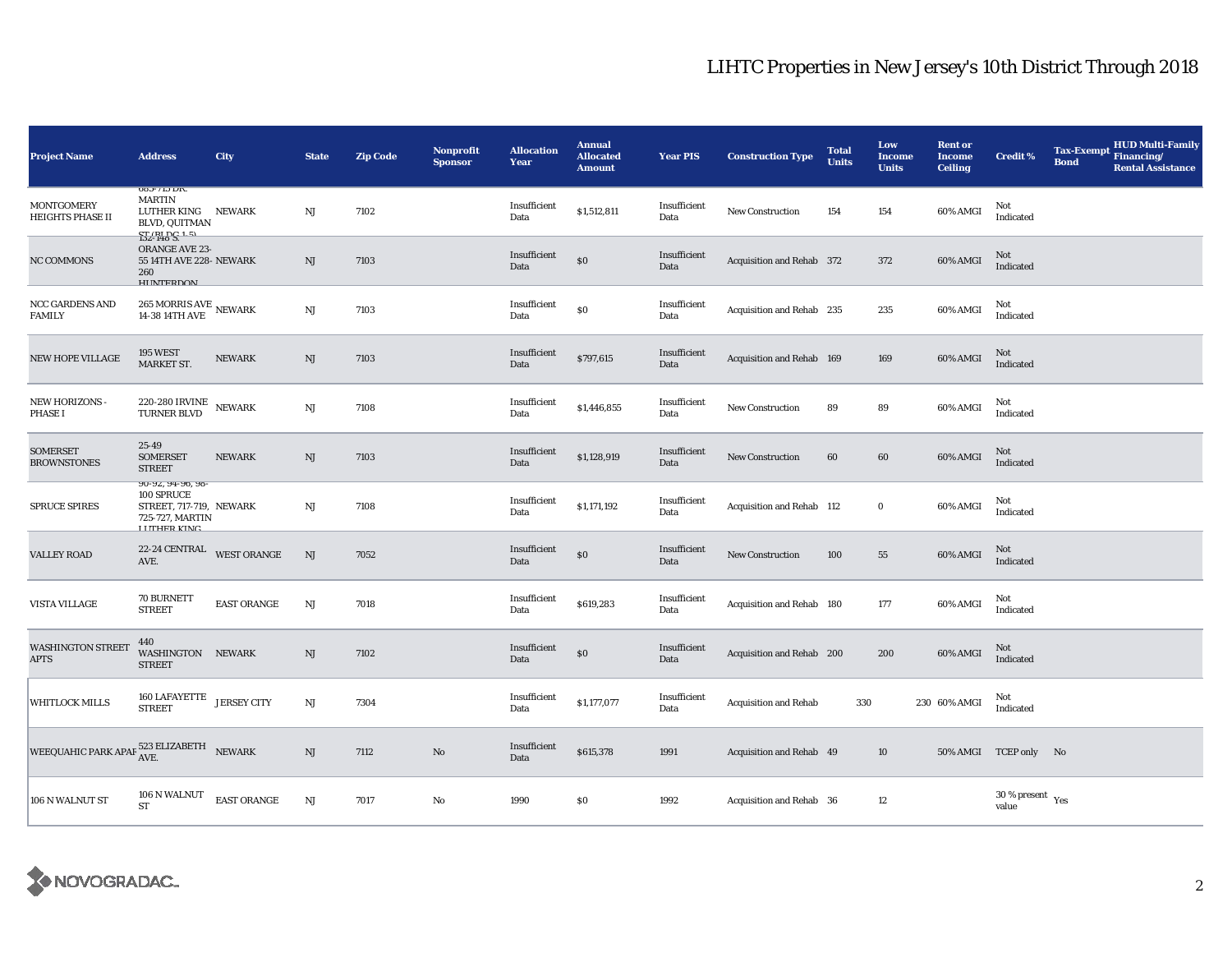| <b>Project Name</b>                                                | <b>Address</b>                                                                                      | City                   | <b>State</b>           | <b>Zip Code</b> | Nonprofit<br><b>Sponsor</b> | <b>Allocation</b><br>Year | <b>Annual</b><br><b>Allocated</b><br><b>Amount</b> | <b>Year PIS</b>      | <b>Construction Type</b>     | <b>Total</b><br><b>Units</b> | Low<br><b>Income</b><br><b>Units</b> | <b>Rent or</b><br><b>Income</b><br><b>Ceiling</b> | <b>Credit %</b>                           | <b>Tax-Exempt</b><br><b>Bond</b> | <b>HUD Multi-Family</b><br>Financing/<br><b>Rental Assistance</b> |
|--------------------------------------------------------------------|-----------------------------------------------------------------------------------------------------|------------------------|------------------------|-----------------|-----------------------------|---------------------------|----------------------------------------------------|----------------------|------------------------------|------------------------------|--------------------------------------|---------------------------------------------------|-------------------------------------------|----------------------------------|-------------------------------------------------------------------|
| MONTGOMERY<br>HEIGHTS PHASE II                                     | 080-710 DK.<br><b>MARTIN</b><br>LUTHER KING NEWARK<br><b>BLVD, QUITMAN</b><br>$ST$ (RI DC 1.5)      |                        | $\rm NJ$               | 7102            |                             | Insufficient<br>Data      | \$1,512,811                                        | Insufficient<br>Data | New Construction             | 154                          | 154                                  | 60% AMGI                                          | Not<br>Indicated                          |                                  |                                                                   |
| NC COMMONS                                                         | ORANGE AVE 23-<br>55 14TH AVE 228- NEWARK<br>260<br><b>HIINTEDDOM</b>                               |                        | NJ                     | 7103            |                             | Insufficient<br>Data      | \$0                                                | Insufficient<br>Data | Acquisition and Rehab 372    |                              | 372                                  | 60% AMGI                                          | Not<br>Indicated                          |                                  |                                                                   |
| NCC GARDENS AND<br>FAMILY                                          | 265 MORRIS AVE NEWARK<br>14-38 14TH AVE                                                             |                        | $\rm NJ$               | 7103            |                             | Insufficient<br>Data      | $\$0$                                              | Insufficient<br>Data | Acquisition and Rehab 235    |                              | 235                                  | 60% AMGI                                          | Not<br>Indicated                          |                                  |                                                                   |
| <b>NEW HOPE VILLAGE</b>                                            | <b>195 WEST</b><br>MARKET ST.                                                                       | <b>NEWARK</b>          | $\rm{NJ}$              | 7103            |                             | Insufficient<br>Data      | \$797,615                                          | Insufficient<br>Data | Acquisition and Rehab 169    |                              | 169                                  | 60% AMGI                                          | Not<br>Indicated                          |                                  |                                                                   |
| <b>NEW HORIZONS</b><br><b>PHASE I</b>                              | <b>220-280 IRVINE</b><br>TURNER BLVD                                                                | <b>NEWARK</b>          | $\rm NJ$               | 7108            |                             | Insufficient<br>Data      | \$1,446,855                                        | Insufficient<br>Data | <b>New Construction</b>      | 89                           | 89                                   | 60% AMGI                                          | Not<br>Indicated                          |                                  |                                                                   |
| <b>SOMERSET</b><br><b>BROWNSTONES</b>                              | 25-49<br><b>SOMERSET</b><br><b>STREET</b>                                                           | <b>NEWARK</b>          | NJ                     | 7103            |                             | Insufficient<br>Data      | \$1,128,919                                        | Insufficient<br>Data | New Construction             | 60                           | 60                                   | 60% AMGI                                          | Not<br>Indicated                          |                                  |                                                                   |
| <b>SPRUCE SPIRES</b>                                               | 90-92, 94-90, 98-<br>100 SPRUCE<br>STREET, 717-719, NEWARK<br>725-727, MARTIN<br><b>LUTHED KING</b> |                        | $\rm NJ$               | 7108            |                             | Insufficient<br>Data      | \$1,171,192                                        | Insufficient<br>Data | Acquisition and Rehab 112    |                              | $\bf{0}$                             | 60% AMGI                                          | Not<br>Indicated                          |                                  |                                                                   |
| <b>VALLEY ROAD</b>                                                 | $22\text{-}24$ CENTRAL WEST ORANGE<br>AVE.                                                          |                        | NJ                     | 7052            |                             | Insufficient<br>Data      | \$0                                                | Insufficient<br>Data | <b>New Construction</b>      | 100                          | 55                                   | 60% AMGI                                          | Not<br>Indicated                          |                                  |                                                                   |
| VISTA VILLAGE                                                      | 70 BURNETT<br><b>STREET</b>                                                                         | <b>EAST ORANGE</b>     | NJ                     | 7018            |                             | Insufficient<br>Data      | \$619,283                                          | Insufficient<br>Data | Acquisition and Rehab 180    |                              | 177                                  | 60% AMGI                                          | Not<br>Indicated                          |                                  |                                                                   |
| <b>WASHINGTON STREET</b><br><b>APTS</b>                            | 440<br>WASHINGTON NEWARK<br><b>STREET</b>                                                           |                        | $\rm{NJ}$              | 7102            |                             | Insufficient<br>Data      | \$0                                                | Insufficient<br>Data | Acquisition and Rehab 200    |                              | 200                                  | 60% AMGI                                          | Not<br>Indicated                          |                                  |                                                                   |
| WHITLOCK MILLS                                                     | 160 LAFAYETTE JERSEY CITY<br><b>STREET</b>                                                          |                        | NJ                     | 7304            |                             | Insufficient<br>Data      | \$1,177,077                                        | Insufficient<br>Data | <b>Acquisition and Rehab</b> | 330                          |                                      | 230 60% AMGI                                      | Not<br>Indicated                          |                                  |                                                                   |
| WEEQUAHIC PARK APAF $_{\mbox{AVE.}}^{523\text{ ELIZABETH}}$ NEWARK |                                                                                                     |                        | $\mathbf{N}\mathbf{J}$ | 7112            | $\mathbf{N}\mathbf{o}$      | Insufficient<br>Data      | \$615,378                                          | 1991                 | Acquisition and Rehab 49     |                              | 10                                   |                                                   | 50% AMGI TCEP only No                     |                                  |                                                                   |
| 106 N WALNUT ST                                                    | 106 N WALNUT<br><b>ST</b>                                                                           | $\textsc{EAST}$ ORANGE | NJ                     | 7017            | No                          | 1990                      | $\$0$                                              | 1992                 | Acquisition and Rehab 36     |                              | 12                                   |                                                   | $30\,\%$ present $\,$ $\rm{Yes}$<br>value |                                  |                                                                   |

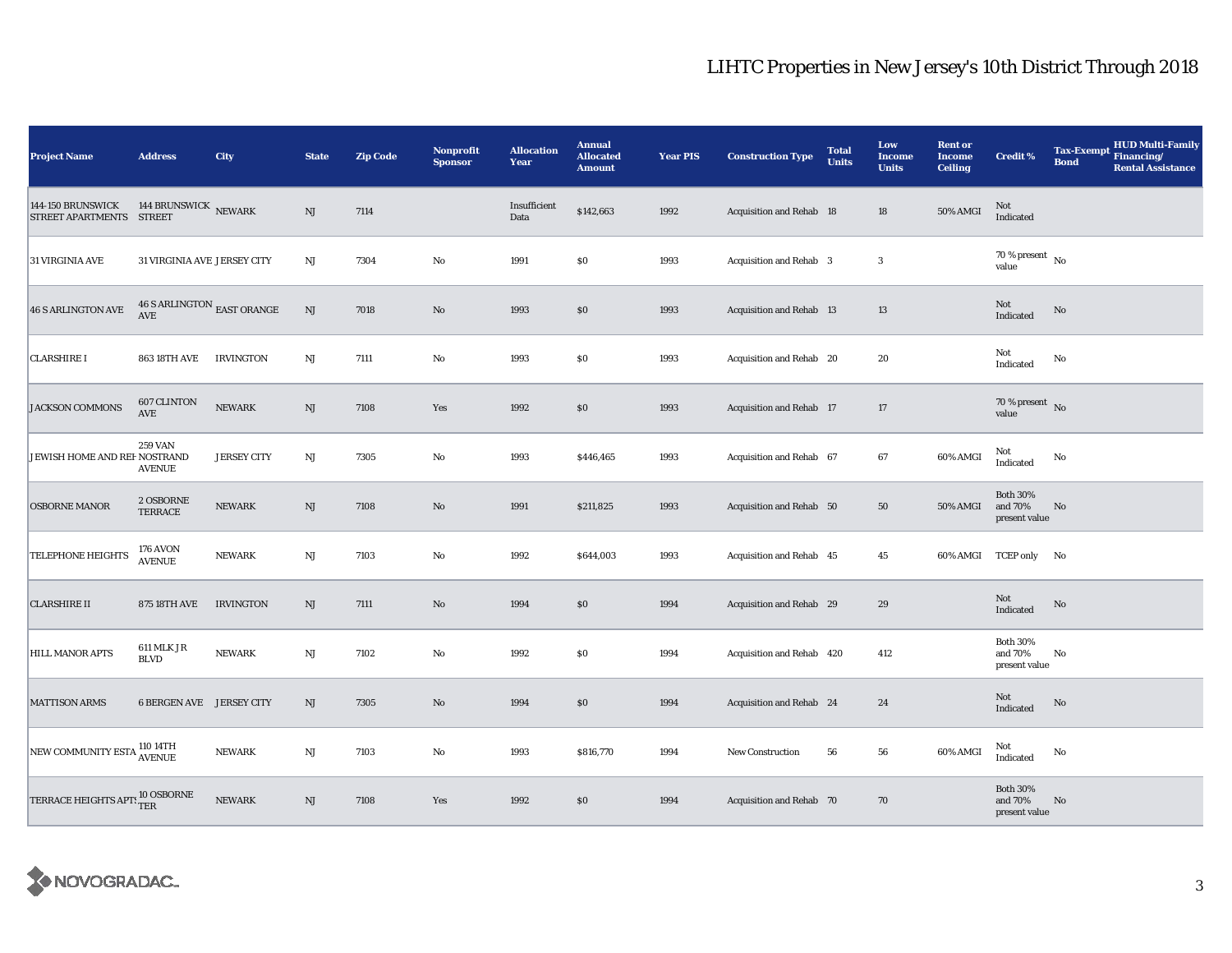| <b>Project Name</b>                                   | <b>Address</b>                               | City               | <b>State</b>           | <b>Zip Code</b> | Nonprofit<br><b>Sponsor</b> | <b>Allocation</b><br>Year | <b>Annual</b><br><b>Allocated</b><br><b>Amount</b> | <b>Year PIS</b> | <b>Construction Type</b>       | <b>Total</b><br><b>Units</b> | Low<br><b>Income</b><br><b>Units</b> | <b>Rent or</b><br><b>Income</b><br><b>Ceiling</b> | <b>Credit %</b>                             | <b>Tax-Exempt</b><br><b>Bond</b> | HUD Multi-Family<br>Financing/<br><b>Rental Assistance</b> |
|-------------------------------------------------------|----------------------------------------------|--------------------|------------------------|-----------------|-----------------------------|---------------------------|----------------------------------------------------|-----------------|--------------------------------|------------------------------|--------------------------------------|---------------------------------------------------|---------------------------------------------|----------------------------------|------------------------------------------------------------|
| <b>144-150 BRUNSWICK</b><br>STREET APARTMENTS STREET  | 144 BRUNSWICK NEWARK                         |                    | NJ                     | 7114            |                             | Insufficient<br>Data      | \$142,663                                          | 1992            | Acquisition and Rehab 18       |                              | 18                                   | 50% AMGI                                          | Not<br>Indicated                            |                                  |                                                            |
| 31 VIRGINIA AVE                                       | 31 VIRGINIA AVE JERSEY CITY                  |                    | $_{\rm NJ}$            | 7304            | $\mathbf {No}$              | 1991                      | \$0                                                | 1993            | <b>Acquisition and Rehab</b> 3 |                              | $\boldsymbol{3}$                     |                                                   | $70$ % present $\,$ No $\,$<br>value        |                                  |                                                            |
| <b>46 S ARLINGTON AVE</b>                             | $46$ S ARLINGTON $_{\rm EAST}$ ORANGE<br>AVE |                    | $\rm{NJ}$              | 7018            | $\rm No$                    | 1993                      | $\$0$                                              | 1993            | Acquisition and Rehab 13       |                              | 13                                   |                                                   | Not<br>Indicated                            | $\mathbf{No}$                    |                                                            |
| <b>CLARSHIRE I</b>                                    | <b>863 18TH AVE</b>                          | <b>IRVINGTON</b>   | NJ                     | 7111            | $\rm No$                    | 1993                      | $\$0$                                              | 1993            | Acquisition and Rehab 20       |                              | $20\,$                               |                                                   | Not<br>Indicated                            | No                               |                                                            |
| <b>JACKSON COMMONS</b>                                | 607 CLINTON<br>AVE                           | <b>NEWARK</b>      | NJ                     | 7108            | Yes                         | 1992                      | \$0                                                | 1993            | Acquisition and Rehab 17       |                              | $17\,$                               |                                                   | 70 % present $\bar{N}$<br>value             |                                  |                                                            |
| JEWISH HOME AND REF NOSTRAND                          | <b>259 VAN</b><br><b>AVENUE</b>              | <b>JERSEY CITY</b> | NJ                     | 7305            | $\rm No$                    | 1993                      | \$446,465                                          | 1993            | Acquisition and Rehab 67       |                              | 67                                   | 60% AMGI                                          | Not<br>Indicated                            | $\mathbf{No}$                    |                                                            |
| <b>OSBORNE MANOR</b>                                  | 2 OSBORNE<br>TERRACE                         | NEWARK             | NJ                     | 7108            | $\rm No$                    | 1991                      | \$211,825                                          | 1993            | Acquisition and Rehab 50       |                              | 50                                   | 50% AMGI                                          | <b>Both 30%</b><br>and 70%<br>present value | No                               |                                                            |
| <b>TELEPHONE HEIGHTS</b>                              | 176 AVON<br><b>AVENUE</b>                    | <b>NEWARK</b>      | NJ                     | 7103            | $\rm No$                    | 1992                      | \$644,003                                          | 1993            | Acquisition and Rehab 45       |                              | 45                                   |                                                   | 60% AMGI TCEP only No                       |                                  |                                                            |
| <b>CLARSHIRE II</b>                                   | <b>875 18TH AVE</b>                          | <b>IRVINGTON</b>   | NJ                     | 7111            | $\rm\thinspace No$          | 1994                      | \$0                                                | 1994            | Acquisition and Rehab 29       |                              | 29                                   |                                                   | Not<br>Indicated                            | $\rm No$                         |                                                            |
| <b>HILL MANOR APTS</b>                                | 611 MLK JR<br><b>BLVD</b>                    | <b>NEWARK</b>      | NJ                     | 7102            | $\rm No$                    | 1992                      | $\$0$                                              | 1994            | Acquisition and Rehab 420      |                              | 412                                  |                                                   | <b>Both 30%</b><br>and 70%<br>present value | No                               |                                                            |
| <b>MATTISON ARMS</b>                                  | <b>6 BERGEN AVE JERSEY CITY</b>              |                    | NJ                     | 7305            | $\rm No$                    | 1994                      | \$0                                                | 1994            | Acquisition and Rehab 24       |                              | 24                                   |                                                   | Not<br>Indicated                            | No                               |                                                            |
| NEW COMMUNITY ESTA 110 14TH                           |                                              | <b>NEWARK</b>      | $\rm{NJ}$              | 7103            | $\rm No$                    | 1993                      | \$816,770                                          | 1994            | <b>New Construction</b>        | 56                           | ${\bf 56}$                           | 60% AMGI                                          | Not<br>Indicated                            | No                               |                                                            |
| TERRACE HEIGHTS APT: $^{10\, \rm OSBORNE}_{\rm\,TER}$ |                                              | <b>NEWARK</b>      | $\mathbf{N}\mathbf{J}$ | 7108            | Yes                         | 1992                      | \$0                                                | 1994            | Acquisition and Rehab 70       |                              | 70                                   |                                                   | <b>Both 30%</b><br>and 70%<br>present value | No                               |                                                            |

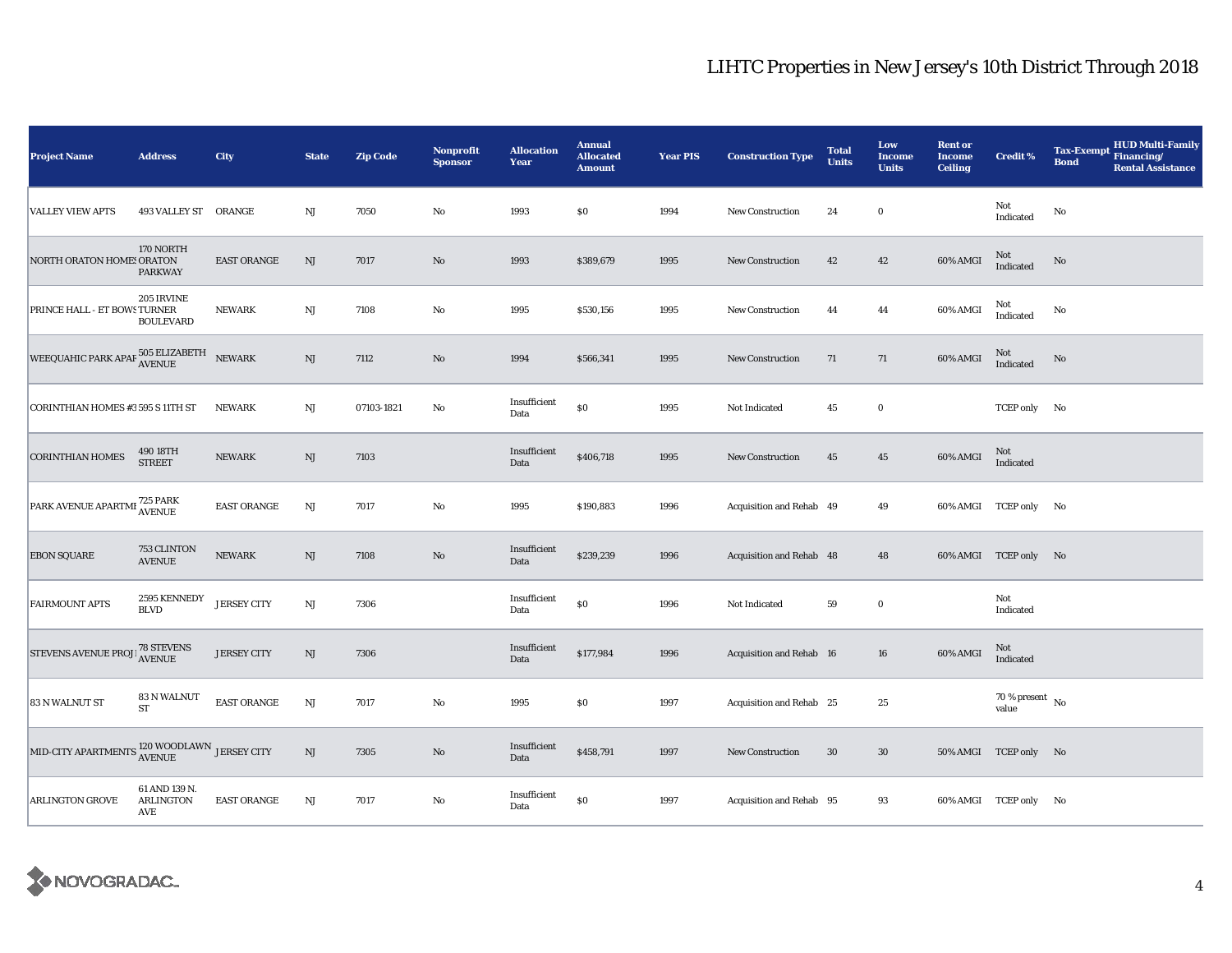| Project Name                                                         | <b>Address</b>                           | City               | <b>State</b>           | <b>Zip Code</b> | <b>Nonprofit</b><br><b>Sponsor</b> | <b>Allocation</b><br>Year | <b>Annual</b><br><b>Allocated</b><br><b>Amount</b> | <b>Year PIS</b> | <b>Construction Type</b> | <b>Total</b><br><b>Units</b> | Low<br><b>Income</b><br><b>Units</b> | <b>Rent or</b><br><b>Income</b><br><b>Ceiling</b> | <b>Credit %</b>                    | HUD Multi-Family<br><b>Tax-Exempt</b><br>Financing/<br><b>Bond</b><br><b>Rental Assistance</b> |
|----------------------------------------------------------------------|------------------------------------------|--------------------|------------------------|-----------------|------------------------------------|---------------------------|----------------------------------------------------|-----------------|--------------------------|------------------------------|--------------------------------------|---------------------------------------------------|------------------------------------|------------------------------------------------------------------------------------------------|
| <b>VALLEY VIEW APTS</b>                                              | 493 VALLEY ST ORANGE                     |                    | NJ                     | 7050            | $\rm No$                           | 1993                      | \$0                                                | 1994            | New Construction         | 24                           | $\bf{0}$                             |                                                   | Not<br>Indicated                   | No                                                                                             |
| NORTH ORATON HOME! ORATON                                            | 170 NORTH<br><b>PARKWAY</b>              | <b>EAST ORANGE</b> | NJ                     | 7017            | $\mathbf{N}\mathbf{o}$             | 1993                      | \$389,679                                          | 1995            | New Construction         | 42                           | 42                                   | 60% AMGI                                          | Not<br>Indicated                   | No                                                                                             |
| PRINCE HALL - ET BOWS TURNER                                         | 205 IRVINE<br><b>BOULEVARD</b>           | <b>NEWARK</b>      | NJ                     | 7108            | No                                 | 1995                      | \$530,156                                          | 1995            | New Construction         | 44                           | 44                                   | 60% AMGI                                          | Not<br>Indicated                   | No                                                                                             |
| WEEQUAHIC PARK APAF $\frac{505}{\rm AVENUE}$ NEWARK                  |                                          |                    | NJ                     | 7112            | $\mathbf{N}\mathbf{o}$             | 1994                      | \$566,341                                          | 1995            | <b>New Construction</b>  | 71                           | 71                                   | 60% AMGI                                          | Not<br>Indicated                   | No                                                                                             |
| CORINTHIAN HOMES #3 595 S 11TH ST                                    |                                          | <b>NEWARK</b>      | NJ                     | 07103-1821      | No                                 | Insufficient<br>Data      | \$0                                                | 1995            | Not Indicated            | 45                           | $\bf{0}$                             |                                                   | TCEP only No                       |                                                                                                |
| <b>CORINTHIAN HOMES</b>                                              | $490\,18\mathrm{TH}$ STREET              | NEWARK             | NJ                     | 7103            |                                    | Insufficient<br>Data      | \$406,718                                          | 1995            | New Construction         | 45                           | 45                                   | 60% AMGI                                          | Not<br>Indicated                   |                                                                                                |
| PARK AVENUE APARTMI 725 PARK                                         |                                          | <b>EAST ORANGE</b> | NJ                     | 7017            | No                                 | 1995                      | \$190,883                                          | 1996            | Acquisition and Rehab 49 |                              | 49                                   |                                                   | 60% AMGI TCEP only No              |                                                                                                |
| <b>EBON SQUARE</b>                                                   | 753 CLINTON<br><b>AVENUE</b>             | <b>NEWARK</b>      | $\rm{NJ}$              | 7108            | $\rm No$                           | Insufficient<br>Data      | \$239,239                                          | 1996            | Acquisition and Rehab 48 |                              | 48                                   |                                                   | 60% AMGI TCEP only No              |                                                                                                |
| <b>FAIRMOUNT APTS</b>                                                | 2595 KENNEDY<br><b>BLVD</b>              | <b>JERSEY CITY</b> | $\rm{NJ}$              | 7306            |                                    | Insufficient<br>Data      | \$0                                                | 1996            | Not Indicated            | 59                           | $\mathbf 0$                          |                                                   | Not<br>Indicated                   |                                                                                                |
| STEVENS AVENUE PROJE 78 STEVENS                                      |                                          | <b>JERSEY CITY</b> | $\rm{NJ}$              | 7306            |                                    | Insufficient<br>Data      | \$177,984                                          | 1996            | Acquisition and Rehab 16 |                              | 16                                   | 60% AMGI                                          | Not<br>Indicated                   |                                                                                                |
| 83 N WALNUT ST                                                       | 83 N WALNUT<br>ST                        | <b>EAST ORANGE</b> | <b>NJ</b>              | 7017            | $\rm No$                           | 1995                      | \$0                                                | 1997            | Acquisition and Rehab 25 |                              | 25                                   |                                                   | 70 % present $\hbox{~No}$<br>value |                                                                                                |
| MID-CITY APARTMENTS $_{\rm AVENUE}^{120\rm{\,WOODLAWN}}$ JERSEY CITY |                                          |                    | $\mathbf{N}\mathbf{J}$ | 7305            | $\rm No$                           | Insufficient<br>Data      | \$458,791                                          | 1997            | <b>New Construction</b>  | 30                           | 30                                   |                                                   | 50% AMGI TCEP only No              |                                                                                                |
| ARLINGTON GROVE                                                      | 61 AND 139 N.<br><b>ARLINGTON</b><br>AVE | <b>EAST ORANGE</b> | NJ                     | 7017            | $\rm No$                           | Insufficient<br>Data      | \$0                                                | 1997            | Acquisition and Rehab 95 |                              | 93                                   |                                                   | 60% AMGI TCEP only No              |                                                                                                |

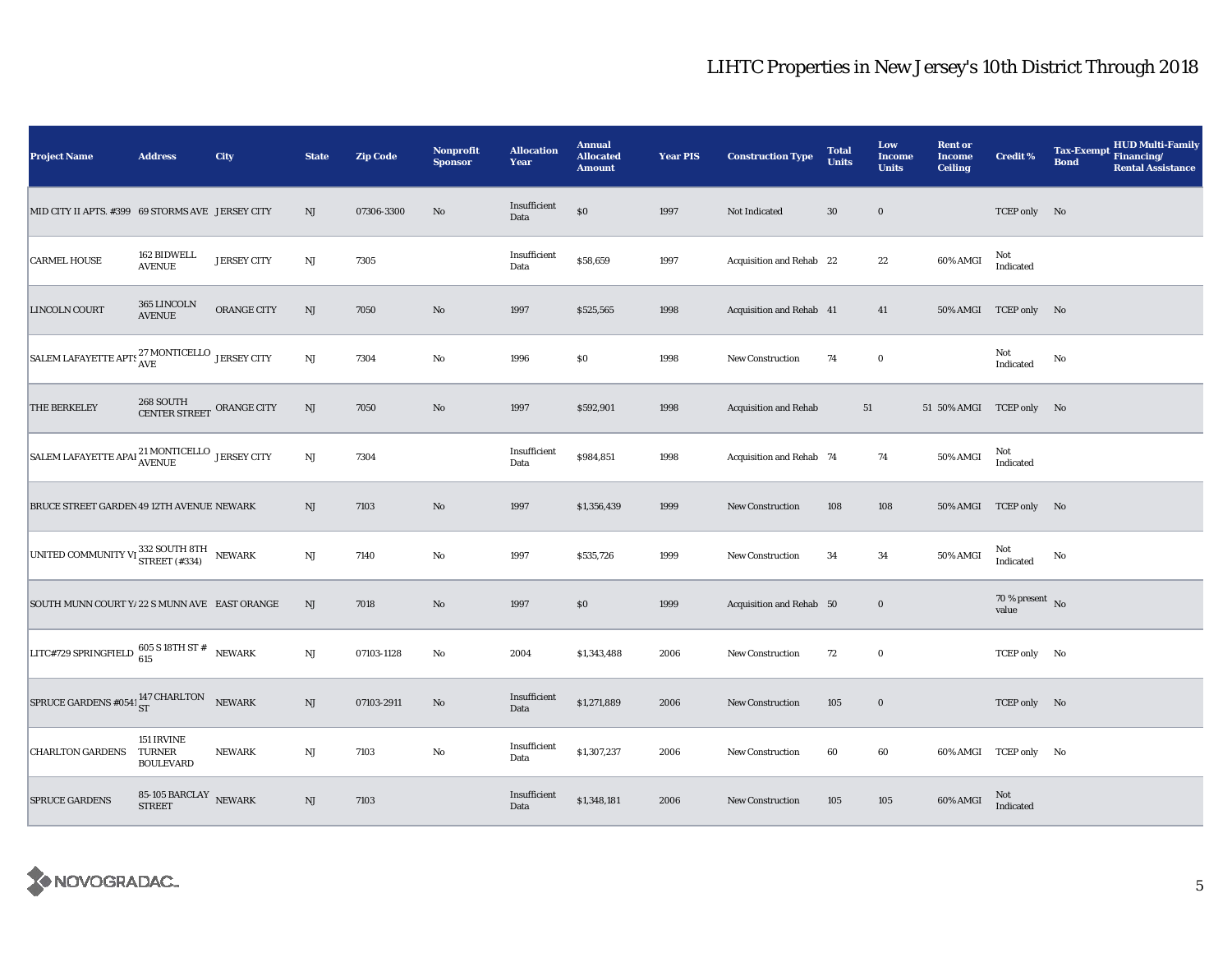| <b>Project Name</b>                                                                                             | <b>Address</b>                                                | City               | <b>State</b>           | <b>Zip Code</b> | Nonprofit<br><b>Sponsor</b> | <b>Allocation</b><br>Year | <b>Annual</b><br><b>Allocated</b><br><b>Amount</b> | <b>Year PIS</b> | <b>Construction Type</b>     | <b>Total</b><br><b>Units</b> | Low<br>Income<br><b>Units</b> | <b>Rent or</b><br><b>Income</b><br><b>Ceiling</b> | Credit %                           | <b>HUD Multi-Family</b><br><b>Tax-Exempt</b><br>Financing/<br><b>Bond</b><br><b>Rental Assistance</b> |
|-----------------------------------------------------------------------------------------------------------------|---------------------------------------------------------------|--------------------|------------------------|-----------------|-----------------------------|---------------------------|----------------------------------------------------|-----------------|------------------------------|------------------------------|-------------------------------|---------------------------------------------------|------------------------------------|-------------------------------------------------------------------------------------------------------|
| MID CITY II APTS. #399 69 STORMS AVE JERSEY CITY                                                                |                                                               |                    | NJ                     | 07306-3300      | No                          | Insufficient<br>Data      | $\$0$                                              | 1997            | Not Indicated                | $30\,$                       | $\bf{0}$                      |                                                   | TCEP only No                       |                                                                                                       |
| <b>CARMEL HOUSE</b>                                                                                             | 162 BIDWELL<br><b>AVENUE</b>                                  | <b>JERSEY CITY</b> | $\mathbf{N}\mathbf{J}$ | 7305            |                             | Insufficient<br>Data      | \$58,659                                           | 1997            | Acquisition and Rehab 22     |                              | $\bf{22}$                     | 60% AMGI                                          | Not<br>Indicated                   |                                                                                                       |
| LINCOLN COURT                                                                                                   | 365 LINCOLN<br><b>AVENUE</b>                                  | ORANGE CITY        | NJ                     | 7050            | No                          | 1997                      | \$525,565                                          | 1998            | Acquisition and Rehab 41     |                              | 41                            |                                                   | 50% AMGI TCEP only No              |                                                                                                       |
| SALEM LAFAYETTE APTS $_{\mathrm{AVE}}^{27}$ MONTICELLO JERSEY CITY                                              |                                                               |                    | NJ                     | 7304            | No                          | 1996                      | \$0                                                | 1998            | New Construction             | 74                           | $\bf{0}$                      |                                                   | Not<br>Indicated                   | No                                                                                                    |
| THE BERKELEY                                                                                                    | $268\,$ SOUTH $\,$ ORANGE CITY CENTER STREET $\,$ ORANGE CITY |                    | NJ                     | 7050            | $\rm No$                    | 1997                      | \$592,901                                          | 1998            | <b>Acquisition and Rehab</b> | 51                           |                               | 51 50% AMGI TCEP only No                          |                                    |                                                                                                       |
| $\begin{array}{ l } \hbox{SALEM LAFAYETTE APAI}^{21~\text{MONTICELLO}} & \hbox{JERSEY CITY} \hline \end{array}$ |                                                               |                    | NJ                     | 7304            |                             | Insufficient<br>Data      | \$984,851                                          | 1998            | Acquisition and Rehab 74     |                              | 74                            | 50% AMGI                                          | Not<br>Indicated                   |                                                                                                       |
| BRUCE STREET GARDEN 49 12TH AVENUE NEWARK                                                                       |                                                               |                    | NJ                     | 7103            | $\rm No$                    | 1997                      | \$1,356,439                                        | 1999            | <b>New Construction</b>      | 108                          | 108                           |                                                   | 50% AMGI TCEP only No              |                                                                                                       |
| UNITED COMMUNITY VI 332 SOUTH 8TH NEWARK                                                                        |                                                               |                    | $\mathbf{N}\mathbf{J}$ | 7140            | No                          | 1997                      | \$535,726                                          | 1999            | <b>New Construction</b>      | 34                           | 34                            | 50% AMGI                                          | Not<br>Indicated                   | No                                                                                                    |
| SOUTH MUNN COURT Y/ 22 S MUNN AVE EAST ORANGE                                                                   |                                                               |                    | NJ                     | 7018            | No                          | 1997                      | \$0                                                | 1999            | Acquisition and Rehab 50     |                              | $\bf{0}$                      |                                                   | 70 % present $\hbox{~No}$<br>value |                                                                                                       |
| LITC#729 SPRINGFIELD $\frac{605 \text{ S} 18 \text{TH} \text{ST}\#}{615}$ NEWARK                                |                                                               |                    | NJ                     | 07103-1128      | No                          | 2004                      | \$1,343,488                                        | 2006            | <b>New Construction</b>      | 72                           | $\bf{0}$                      |                                                   | TCEP only No                       |                                                                                                       |
| SPRUCE GARDENS #0541 $_{ST}^{147}$ CHARLTON NEWARK                                                              |                                                               |                    | NJ                     | 07103-2911      | No                          | Insufficient<br>Data      | \$1,271,889                                        | 2006            | New Construction             | 105                          | $\bf{0}$                      |                                                   | TCEP only No                       |                                                                                                       |
| <b>CHARLTON GARDENS</b>                                                                                         | 151 IRVINE<br>TURNER<br><b>BOULEVARD</b>                      | <b>NEWARK</b>      | $\mathbf{N}\mathbf{J}$ | 7103            | No                          | Insufficient<br>Data      | \$1,307,237                                        | 2006            | New Construction             | 60                           | 60                            |                                                   | 60% AMGI TCEP only No              |                                                                                                       |
| <b>SPRUCE GARDENS</b>                                                                                           | $85\text{-}105$ BARCLAY NEWARK STREET                         |                    | NJ                     | 7103            |                             | Insufficient<br>Data      | \$1,348,181                                        | 2006            | <b>New Construction</b>      | 105                          | 105                           | 60% AMGI                                          | Not<br>Indicated                   |                                                                                                       |

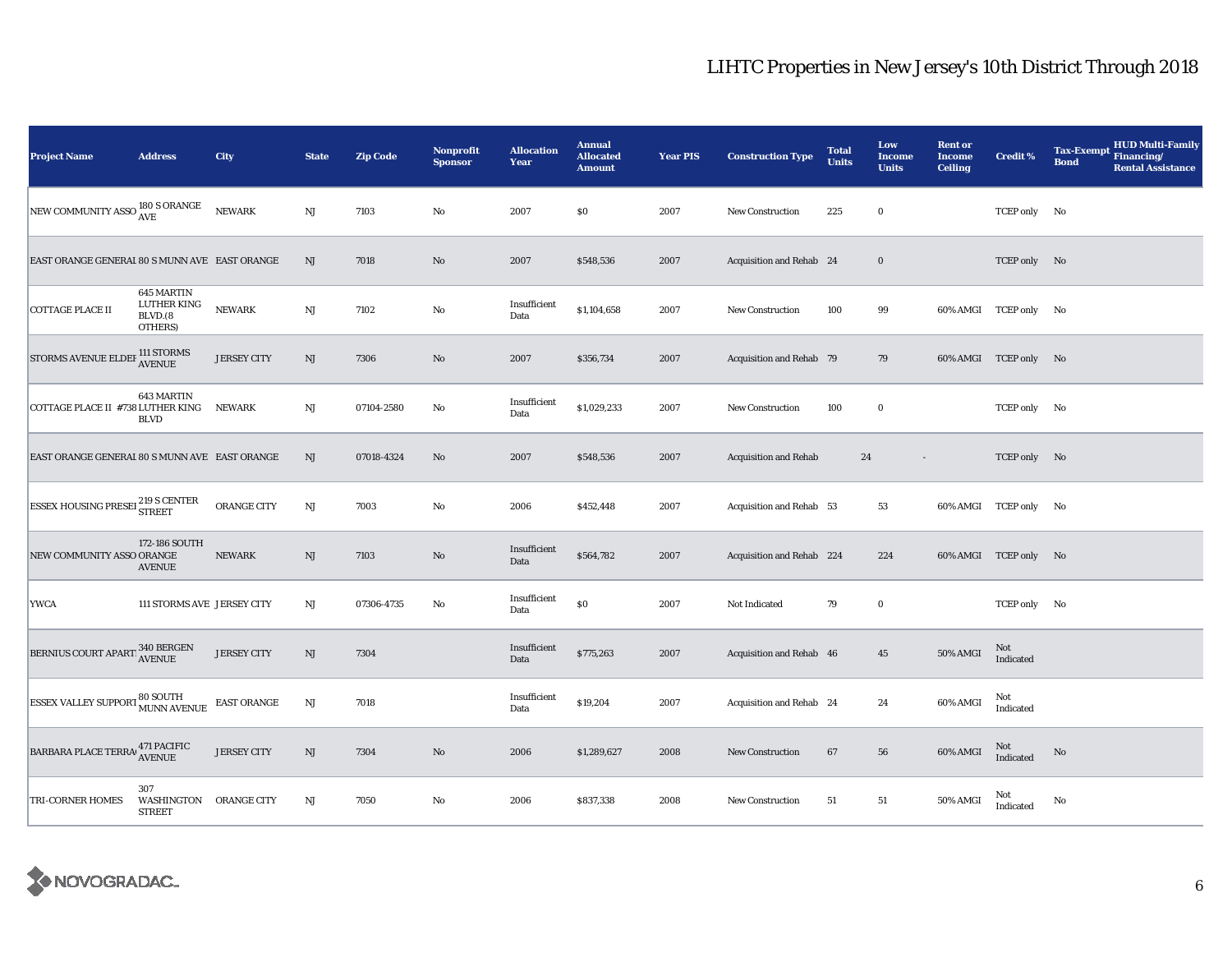| <b>Project Name</b>                                                                                                                                  | <b>Address</b>                                  | City               | <b>State</b>           | <b>Zip Code</b> | Nonprofit<br><b>Sponsor</b> | <b>Allocation</b><br>Year | <b>Annual</b><br><b>Allocated</b><br><b>Amount</b> | <b>Year PIS</b> | <b>Construction Type</b>     | <b>Total</b><br><b>Units</b> | Low<br><b>Income</b><br><b>Units</b> | <b>Rent or</b><br><b>Income</b><br><b>Ceiling</b> | <b>Credit %</b>       | <b>HUD Multi-Family</b><br><b>Tax-Exempt</b><br>Financing/<br><b>Bond</b><br><b>Rental Assistance</b> |
|------------------------------------------------------------------------------------------------------------------------------------------------------|-------------------------------------------------|--------------------|------------------------|-----------------|-----------------------------|---------------------------|----------------------------------------------------|-----------------|------------------------------|------------------------------|--------------------------------------|---------------------------------------------------|-----------------------|-------------------------------------------------------------------------------------------------------|
| NEW COMMUNITY ASSO 180 S ORANGE                                                                                                                      |                                                 | <b>NEWARK</b>      | $\mathbf{N}\mathbf{J}$ | 7103            | No                          | 2007                      | \$0                                                | 2007            | New Construction             | 225                          | $\bf{0}$                             |                                                   | TCEP only No          |                                                                                                       |
| EAST ORANGE GENERAL 80 S MUNN AVE EAST ORANGE                                                                                                        |                                                 |                    | $\rm{NJ}$              | 7018            | No                          | 2007                      | \$548,536                                          | 2007            | Acquisition and Rehab 24     |                              | $\bf{0}$                             |                                                   | TCEP only No          |                                                                                                       |
| <b>COTTAGE PLACE II</b>                                                                                                                              | 645 MARTIN<br>LUTHER KING<br>BLVD.(8<br>OTHERS) | <b>NEWARK</b>      | $_{\rm NJ}$            | 7102            | No                          | Insufficient<br>Data      | \$1,104,658                                        | 2007            | <b>New Construction</b>      | 100                          | 99                                   |                                                   | 60% AMGI TCEP only No |                                                                                                       |
| STORMS AVENUE ELDEF 111 STORMS AVENUE                                                                                                                |                                                 | <b>JERSEY CITY</b> | $\mathbf{N}\mathbf{J}$ | 7306            | No                          | 2007                      | \$356,734                                          | 2007            | Acquisition and Rehab 79     |                              | 79                                   |                                                   | 60% AMGI TCEP only No |                                                                                                       |
| COTTAGE PLACE II #738 LUTHER KING                                                                                                                    | 643 MARTIN<br><b>BLVD</b>                       | <b>NEWARK</b>      | NJ                     | 07104-2580      | No                          | Insufficient<br>Data      | \$1,029,233                                        | 2007            | <b>New Construction</b>      | 100                          | $\bf{0}$                             |                                                   | TCEP only No          |                                                                                                       |
| EAST ORANGE GENERAL 80 S MUNN AVE EAST ORANGE                                                                                                        |                                                 |                    | NJ                     | 07018-4324      | No                          | 2007                      | \$548,536                                          | 2007            | <b>Acquisition and Rehab</b> | 24                           | $\overline{\phantom{a}}$             |                                                   | TCEP only No          |                                                                                                       |
| <b>ESSEX HOUSING PRESEL 219 S CENTER</b>                                                                                                             |                                                 | ORANGE CITY        | NJ                     | 7003            | No                          | 2006                      | \$452,448                                          | 2007            | Acquisition and Rehab 53     |                              | 53                                   |                                                   | 60% AMGI TCEP only No |                                                                                                       |
| NEW COMMUNITY ASSO ORANGE                                                                                                                            | 172-186 SOUTH<br><b>AVENUE</b>                  | <b>NEWARK</b>      | $\rm{NJ}$              | 7103            | No                          | Insufficient<br>Data      | \$564,782                                          | 2007            | Acquisition and Rehab 224    |                              | 224                                  |                                                   | 60% AMGI TCEP only No |                                                                                                       |
| <b>YWCA</b>                                                                                                                                          | 111 STORMS AVE JERSEY CITY                      |                    | $_{\rm NJ}$            | 07306-4735      | No                          | Insufficient<br>Data      | \$0                                                | 2007            | Not Indicated                | 79                           | $\bf{0}$                             |                                                   | TCEP only No          |                                                                                                       |
| $\fbox{\texttt{BERNIUS COURT} } \begin{tabular}{@{}l@{}} 340 & & & & & & \\ \hline & 340 & & & & & \\ \hline & AVENUE & & & \\ \hline \end{tabular}$ |                                                 | <b>JERSEY CITY</b> | NJ                     | 7304            |                             | Insufficient<br>Data      | \$775,263                                          | 2007            | Acquisition and Rehab 46     |                              | 45                                   | 50% AMGI                                          | Not<br>Indicated      |                                                                                                       |
| <b>ESSEX VALLEY SUPPORT 80 SOUTH</b>                                                                                                                 |                                                 | <b>EAST ORANGE</b> | NJ                     | 7018            |                             | Insufficient<br>Data      | \$19,204                                           | 2007            | Acquisition and Rehab 24     |                              | 24                                   | 60% AMGI                                          | Not<br>Indicated      |                                                                                                       |
| BARBARA PLACE TERRA <sup>471</sup> PACIFIC                                                                                                           |                                                 | <b>JERSEY CITY</b> | $\rm{NJ}$              | 7304            | No                          | 2006                      | \$1,289,627                                        | 2008            | <b>New Construction</b>      | 67                           | 56                                   | 60% AMGI                                          | Not<br>Indicated      | No                                                                                                    |
| <b>TRI-CORNER HOMES</b>                                                                                                                              | 307<br>WASHINGTON ORANGE CITY<br><b>STREET</b>  |                    | $\mathbf{N}\mathbf{J}$ | 7050            | No                          | 2006                      | \$837,338                                          | 2008            | New Construction             | 51                           | 51                                   | 50% AMGI                                          | Not<br>Indicated      | No                                                                                                    |

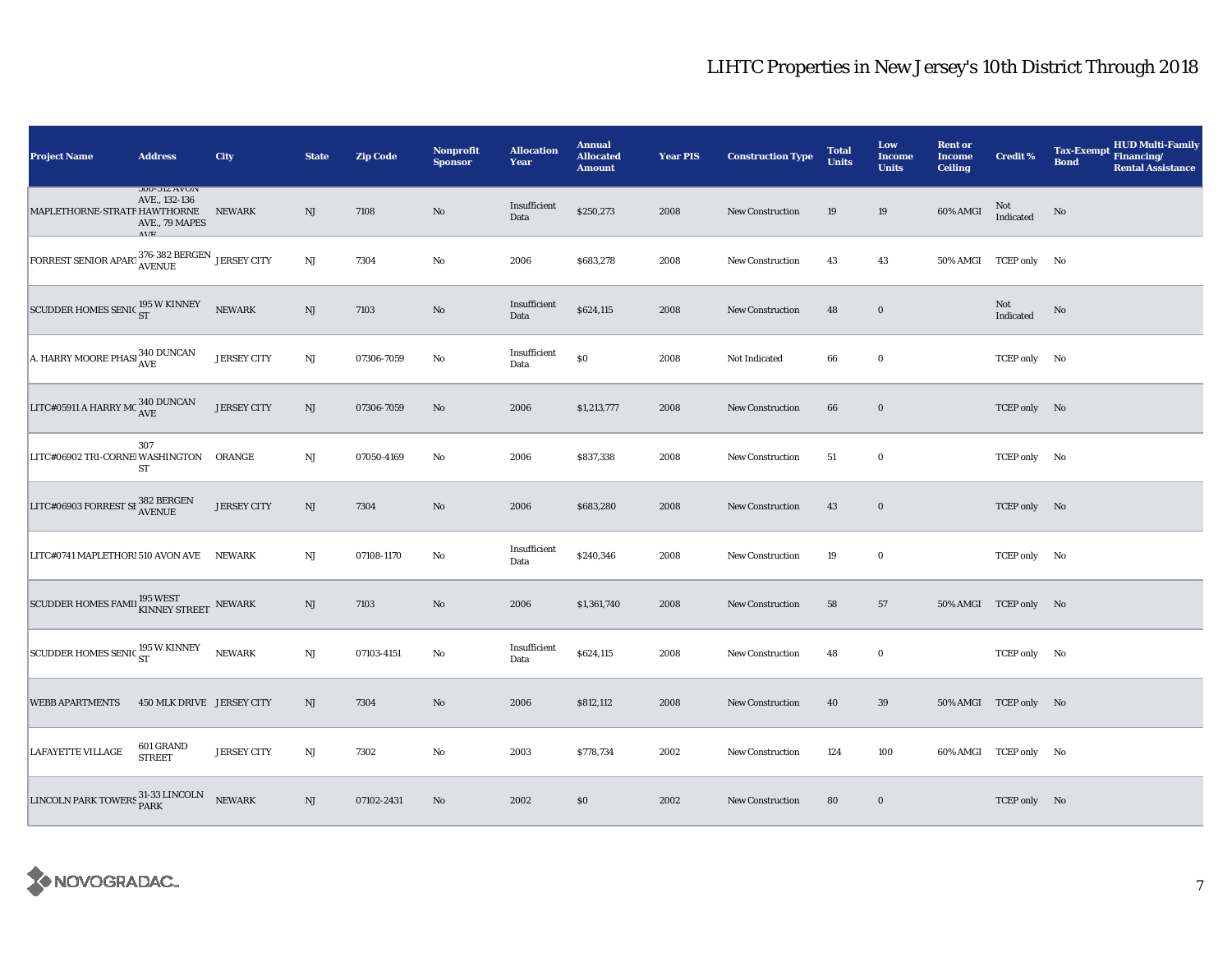| <b>Project Name</b>                                                            | <b>Address</b>                                                                 | City               | <b>State</b> | <b>Zip Code</b> | <b>Nonprofit</b><br><b>Sponsor</b> | <b>Allocation</b><br>Year | <b>Annual</b><br><b>Allocated</b><br><b>Amount</b> | <b>Year PIS</b> | <b>Construction Type</b> | <b>Total</b><br><b>Units</b> | Low<br>Income<br><b>Units</b> | <b>Rent or</b><br><b>Income</b><br><b>Ceiling</b> | <b>Credit %</b>       | <b>HUD Multi-Family</b><br><b>Tax-Exempt</b><br>Financing/<br><b>Bond</b><br><b>Rental Assistance</b> |
|--------------------------------------------------------------------------------|--------------------------------------------------------------------------------|--------------------|--------------|-----------------|------------------------------------|---------------------------|----------------------------------------------------|-----------------|--------------------------|------------------------------|-------------------------------|---------------------------------------------------|-----------------------|-------------------------------------------------------------------------------------------------------|
| MAPLETHORNE-STRATF HAWTHORNE                                                   | <b>JUU-JIZ AVUIV</b><br>AVE., 132-136<br>AVE., 79 MAPES<br>$\Lambda$ $V\Gamma$ | <b>NEWARK</b>      | NJ           | 7108            | No                                 | Insufficient<br>Data      | \$250,273                                          | 2008            | <b>New Construction</b>  | 19                           | 19                            | 60% AMGI                                          | Not<br>Indicated      | No                                                                                                    |
| FORREST SENIOR APART $376-382$ BERGEN JERSEY CITY                              |                                                                                |                    | NJ           | 7304            | No                                 | 2006                      | \$683,278                                          | 2008            | <b>New Construction</b>  | 43                           | 43                            |                                                   | 50% AMGI TCEP only No |                                                                                                       |
| SCUDDER HOMES SENIC 195 W KINNEY                                               |                                                                                | <b>NEWARK</b>      | NJ           | 7103            | No                                 | Insufficient<br>Data      | \$624,115                                          | 2008            | <b>New Construction</b>  | 48                           | $\bf{0}$                      |                                                   | Not<br>Indicated      | No                                                                                                    |
| A. HARRY MOORE PHASI 340 DUNCAN                                                |                                                                                | <b>JERSEY CITY</b> | $\rm{NJ}$    | 07306-7059      | $\rm No$                           | Insufficient<br>Data      | $\$0$                                              | 2008            | Not Indicated            | 66                           | $\bf{0}$                      |                                                   | TCEP only No          |                                                                                                       |
| LITC#05911 A HARRY MC $_{\mbox{AVE}}^{340\; \mbox{DUNCAN}}$                    |                                                                                | <b>JERSEY CITY</b> | NJ           | 07306-7059      | No                                 | 2006                      | \$1,213,777                                        | 2008            | <b>New Construction</b>  | 66                           | $\mathbf 0$                   |                                                   | TCEP only No          |                                                                                                       |
| LITC#06902 TRI-CORNE WASHINGTON ORANGE                                         | 307<br>ST                                                                      |                    | NJ           | 07050-4169      | $\rm No$                           | 2006                      | \$837,338                                          | 2008            | New Construction         | 51                           | $\mathbf 0$                   |                                                   | TCEP only No          |                                                                                                       |
| LITC#06903 FORREST SI $_\mathrm{AVENUE}^{382}$ BERGEN                          |                                                                                | <b>JERSEY CITY</b> | NJ           | 7304            | No                                 | 2006                      | \$683,280                                          | 2008            | <b>New Construction</b>  | 43                           | $\mathbf 0$                   |                                                   | TCEP only No          |                                                                                                       |
| LITC#0741 MAPLETHORI 510 AVON AVE                                              |                                                                                | NEWARK             | NJ           | 07108-1170      | $\rm No$                           | Insufficient<br>Data      | \$240,346                                          | 2008            | <b>New Construction</b>  | 19                           | $\bf{0}$                      |                                                   | TCEP only No          |                                                                                                       |
| SCUDDER HOMES FAMIL $_{\mbox{\footnotesize KINNEY}}^{195\ \mbox{WEST}}$ NEWARK |                                                                                |                    | NJ           | 7103            | No                                 | 2006                      | \$1,361,740                                        | 2008            | <b>New Construction</b>  | 58                           | 57                            |                                                   | 50% AMGI TCEP only No |                                                                                                       |
| SCUDDER HOMES SENIC <sup>195</sup> W KINNEY                                    |                                                                                | <b>NEWARK</b>      | NJ           | 07103-4151      | $\rm No$                           | Insufficient<br>Data      | \$624,115                                          | 2008            | New Construction         | 48                           | $\bf{0}$                      |                                                   | TCEP only No          |                                                                                                       |
| <b>WEBB APARTMENTS</b>                                                         | 450 MLK DRIVE JERSEY CITY                                                      |                    | NJ           | 7304            | No                                 | 2006                      | \$812,112                                          | 2008            | <b>New Construction</b>  | 40                           | 39                            |                                                   | 50% AMGI TCEP only No |                                                                                                       |
| <b>LAFAYETTE VILLAGE</b>                                                       | 601 GRAND<br><b>STREET</b>                                                     | <b>JERSEY CITY</b> | $\rm{NJ}$    | 7302            | $\rm No$                           | 2003                      | \$778,734                                          | 2002            | <b>New Construction</b>  | 124                          | 100                           |                                                   | 60% AMGI TCEP only No |                                                                                                       |
| LINCOLN PARK TOWERS 31-33 LINCOLN                                              |                                                                                | <b>NEWARK</b>      | NJ           | 07102-2431      | No                                 | 2002                      | \$0                                                | 2002            | <b>New Construction</b>  | 80                           | $\bf{0}$                      |                                                   | TCEP only No          |                                                                                                       |

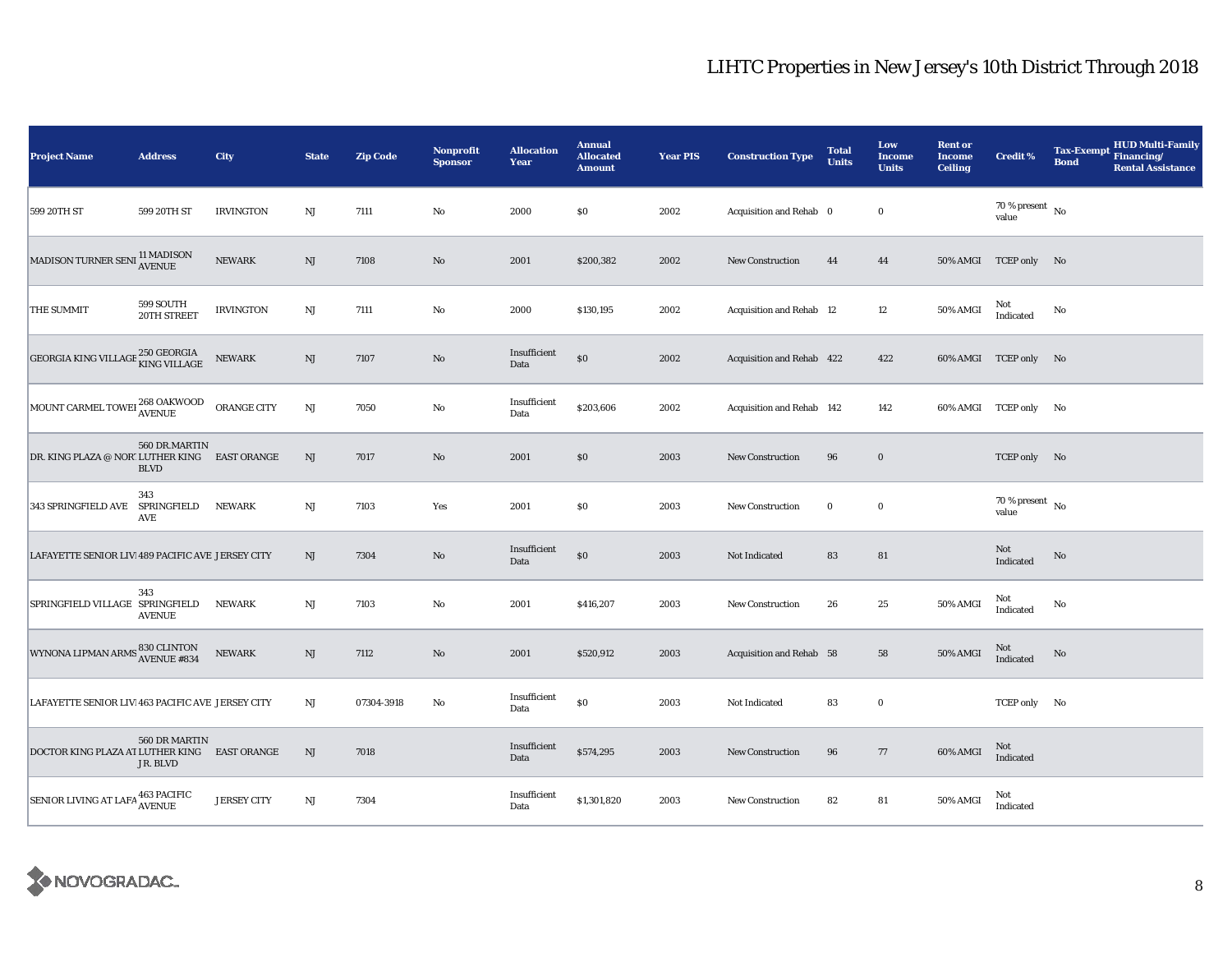| <b>Project Name</b>                                                | <b>Address</b>               | City               | <b>State</b>           | <b>Zip Code</b> | Nonprofit<br><b>Sponsor</b> | <b>Allocation</b><br>Year | <b>Annual</b><br><b>Allocated</b><br><b>Amount</b> | <b>Year PIS</b> | <b>Construction Type</b>  | <b>Total</b><br>Units | Low<br><b>Income</b><br><b>Units</b> | <b>Rent or</b><br><b>Income</b><br><b>Ceiling</b> | <b>Credit %</b>                      | <b>Tax-Exempt</b><br><b>Bond</b> | <b>HUD Multi-Family</b><br>Financing/<br><b>Rental Assistance</b> |
|--------------------------------------------------------------------|------------------------------|--------------------|------------------------|-----------------|-----------------------------|---------------------------|----------------------------------------------------|-----------------|---------------------------|-----------------------|--------------------------------------|---------------------------------------------------|--------------------------------------|----------------------------------|-------------------------------------------------------------------|
| 599 20TH ST                                                        | 599 20TH ST                  | <b>IRVINGTON</b>   | $_{\rm NJ}$            | 7111            | No                          | 2000                      | \$0                                                | 2002            | Acquisition and Rehab 0   |                       | $\bf{0}$                             |                                                   | 70 % present $\hbox{~No}$<br>value   |                                  |                                                                   |
| MADISON TURNER SENI <sup>11</sup> MADISON<br>AVENUE                |                              | <b>NEWARK</b>      | $\mathbf{N}\mathbf{J}$ | 7108            | $\mathbf{N}\mathbf{o}$      | 2001                      | \$200,382                                          | 2002            | New Construction          | 44                    | 44                                   |                                                   | 50% AMGI TCEP only No                |                                  |                                                                   |
| THE SUMMIT                                                         | 599 SOUTH<br>20TH STREET     | <b>IRVINGTON</b>   | NJ                     | 7111            | No                          | 2000                      | \$130,195                                          | 2002            | Acquisition and Rehab 12  |                       | $12\phantom{.0}$                     | 50% AMGI                                          | Not<br>Indicated                     | No                               |                                                                   |
| GEORGIA KING VILLAGE $^{250\, {\rm GEORGIA}}_{\rm KING\, VILLAGE}$ |                              | <b>NEWARK</b>      | $\rm{NJ}$              | 7107            | No                          | Insufficient<br>Data      | \$0                                                | 2002            | Acquisition and Rehab 422 |                       | 422                                  |                                                   | 60% AMGI TCEP only No                |                                  |                                                                   |
| MOUNT CARMEL TOWEI 268 OAKWOOD                                     |                              | ORANGE CITY        | $_{\rm NJ}$            | 7050            | No                          | Insufficient<br>Data      | \$203,606                                          | 2002            | Acquisition and Rehab 142 |                       | 142                                  |                                                   | 60% AMGI TCEP only No                |                                  |                                                                   |
| DR. KING PLAZA @ NOR' LUTHER KING EAST ORANGE                      | 560 DR.MARTIN<br><b>BLVD</b> |                    | NJ                     | 7017            | No                          | 2001                      | \$0                                                | 2003            | New Construction          | 96                    | $\bf{0}$                             |                                                   | TCEP only No                         |                                  |                                                                   |
| 343 SPRINGFIELD AVE                                                | 343<br>SPRINGFIELD<br>AVE    | <b>NEWARK</b>      | $_{\rm NJ}$            | 7103            | Yes                         | 2001                      | \$0                                                | 2003            | New Construction          | $\bf{0}$              | $\bf{0}$                             |                                                   | $70$ % present $\,$ No $\,$<br>value |                                  |                                                                   |
| LAFAYETTE SENIOR LIV 489 PACIFIC AVE JERSEY CITY                   |                              |                    | NJ                     | 7304            | $\mathbf{N}\mathbf{o}$      | Insufficient<br>Data      | \$0                                                | 2003            | Not Indicated             | 83                    | 81                                   |                                                   | Not<br>Indicated                     | No                               |                                                                   |
| SPRINGFIELD VILLAGE SPRINGFIELD                                    | 343<br><b>AVENUE</b>         | <b>NEWARK</b>      | NJ                     | 7103            | No                          | 2001                      | \$416,207                                          | 2003            | <b>New Construction</b>   | 26                    | 25                                   | 50% AMGI                                          | Not<br>Indicated                     | No                               |                                                                   |
| WYNONA LIPMAN ARMS 830 CLINTON<br>AVENUE #834                      |                              | <b>NEWARK</b>      | $\mathbf{N}\mathbf{J}$ | 7112            | $\mathbf{N}\mathbf{o}$      | 2001                      | \$520,912                                          | 2003            | Acquisition and Rehab 58  |                       | 58                                   | 50% AMGI                                          | Not<br>Indicated                     | No                               |                                                                   |
| LAFAYETTE SENIOR LIV 463 PACIFIC AVE JERSEY CITY                   |                              |                    | NJ                     | 07304-3918      | No                          | Insufficient<br>Data      | \$0                                                | 2003            | Not Indicated             | 83                    | $\bf{0}$                             |                                                   | TCEP only No                         |                                  |                                                                   |
| DOCTOR KING PLAZA AT LUTHER KING EAST ORANGE                       | 560 DR MARTIN<br>JR. BLVD    |                    | NJ                     | 7018            |                             | Insufficient<br>Data      | \$574,295                                          | 2003            | <b>New Construction</b>   | 96                    | 77                                   | 60% AMGI                                          | Not<br>Indicated                     |                                  |                                                                   |
| SENIOR LIVING AT LAFA 463 PACIFIC                                  |                              | <b>JERSEY CITY</b> | $\mathbf{N}\mathbf{J}$ | 7304            |                             | Insufficient<br>Data      | \$1,301,820                                        | 2003            | New Construction          | 82                    | 81                                   | 50% AMGI                                          | Not<br>Indicated                     |                                  |                                                                   |

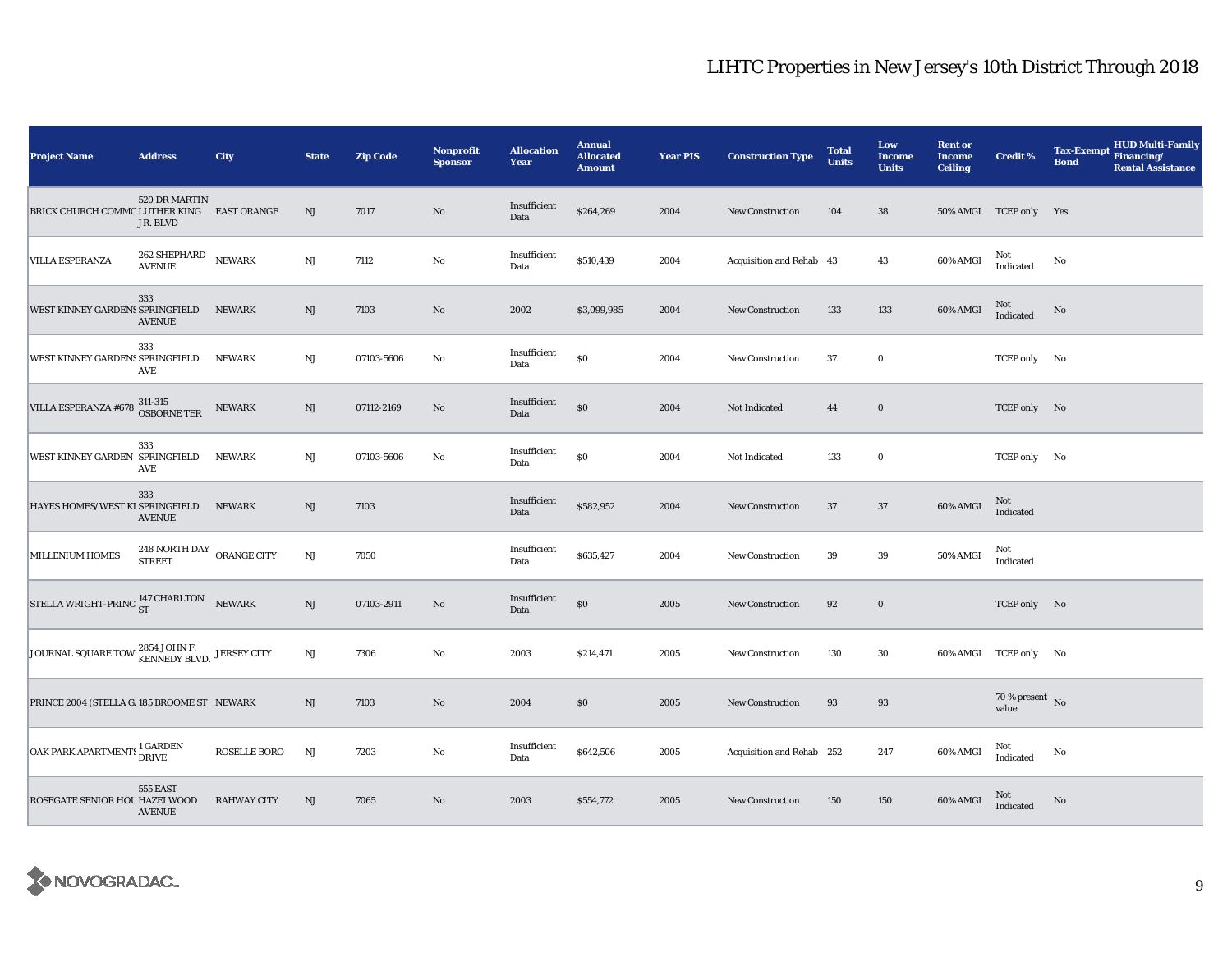| <b>Project Name</b>                               | <b>Address</b>                             | City                | <b>State</b>           | <b>Zip Code</b> | <b>Nonprofit</b><br><b>Sponsor</b> | <b>Allocation</b><br>Year | <b>Annual</b><br><b>Allocated</b><br><b>Amount</b> | <b>Year PIS</b> | <b>Construction Type</b>  | <b>Total</b><br><b>Units</b> | Low<br>Income<br><b>Units</b> | <b>Rent or</b><br><b>Income</b><br><b>Ceiling</b> | <b>Credit %</b>                    | <b>HUD Multi-Family</b><br><b>Tax-Exempt</b><br>Financing/<br><b>Bond</b><br><b>Rental Assistance</b> |
|---------------------------------------------------|--------------------------------------------|---------------------|------------------------|-----------------|------------------------------------|---------------------------|----------------------------------------------------|-----------------|---------------------------|------------------------------|-------------------------------|---------------------------------------------------|------------------------------------|-------------------------------------------------------------------------------------------------------|
| BRICK CHURCH COMMO LUTHER KING EAST ORANGE        | 520 DR MARTIN<br>JR. BLVD                  |                     | NJ                     | 7017            | No                                 | Insufficient<br>Data      | \$264,269                                          | 2004            | New Construction          | 104                          | 38                            |                                                   | 50% AMGI TCEP only Yes             |                                                                                                       |
| <b>VILLA ESPERANZA</b>                            | 262 SHEPHARD<br><b>AVENUE</b>              | <b>NEWARK</b>       | $_{\rm NJ}$            | 7112            | No                                 | Insufficient<br>Data      | \$510,439                                          | 2004            | Acquisition and Rehab 43  |                              | 43                            | 60% AMGI                                          | Not<br>Indicated                   | No                                                                                                    |
| WEST KINNEY GARDENS SPRINGFIELD NEWARK            | 333<br><b>AVENUE</b>                       |                     | NJ                     | 7103            | $\rm No$                           | 2002                      | \$3,099,985                                        | 2004            | <b>New Construction</b>   | 133                          | 133                           | 60% AMGI                                          | $\rm Not$ Indicated                | $\mathbf{No}$                                                                                         |
| WEST KINNEY GARDENS SPRINGFIELD                   | 333<br>AVE                                 | <b>NEWARK</b>       | $_{\rm NJ}$            | 07103-5606      | No                                 | Insufficient<br>Data      | $\$0$                                              | 2004            | <b>New Construction</b>   | 37                           | $\mathbf 0$                   |                                                   | TCEP only No                       |                                                                                                       |
| VILLA ESPERANZA #678                              | 311-315<br>OSBORNE TER                     | <b>NEWARK</b>       | NJ                     | 07112-2169      | No                                 | Insufficient<br>Data      | $\$0$                                              | 2004            | <b>Not Indicated</b>      | 44                           | $\bf{0}$                      |                                                   | TCEP only No                       |                                                                                                       |
| WEST KINNEY GARDEN SPRINGFIELD                    | 333<br>AVE                                 | <b>NEWARK</b>       | $_{\rm NJ}$            | 07103-5606      | No                                 | Insufficient<br>Data      | $\$0$                                              | 2004            | Not Indicated             | 133                          | $\mathbf 0$                   |                                                   | TCEP only No                       |                                                                                                       |
| HAYES HOMES/WEST KI SPRINGFIELD                   | 333<br><b>AVENUE</b>                       | <b>NEWARK</b>       | NJ                     | 7103            |                                    | Insufficient<br>Data      | \$582,952                                          | 2004            | <b>New Construction</b>   | 37                           | 37                            | 60% AMGI                                          | Not<br>Indicated                   |                                                                                                       |
| <b>MILLENIUM HOMES</b>                            | 248 NORTH DAY ORANGE CITY<br><b>STREET</b> |                     | $\rm{NJ}$              | 7050            |                                    | Insufficient<br>Data      | \$635,427                                          | 2004            | <b>New Construction</b>   | 39                           | $39\,$                        | 50% AMGI                                          | Not<br>Indicated                   |                                                                                                       |
| STELLA WRIGHT-PRINC $^{147}_{ST}$ CHARLTON NEWARK |                                            |                     | $\mathbf{N}\mathbf{J}$ | 07103-2911      | $\rm No$                           | Insufficient<br>Data      | $\$0$                                              | 2005            | New Construction          | 92                           | $\mathbf 0$                   |                                                   | TCEP only No                       |                                                                                                       |
| JOURNAL SQUARE TOWE ES HOHN F. JERSEY CITY        |                                            |                     | NJ                     | 7306            | $\rm No$                           | 2003                      | \$214,471                                          | 2005            | <b>New Construction</b>   | 130                          | 30                            |                                                   | 60% AMGI TCEP only No              |                                                                                                       |
| PRINCE 2004 (STELLA G. 185 BROOME ST NEWARK       |                                            |                     | NJ                     | 7103            | $\rm No$                           | 2004                      | \$0                                                | 2005            | <b>New Construction</b>   | 93                           | $\bf 93$                      |                                                   | 70 % present $\hbox{~No}$<br>value |                                                                                                       |
| OAK PARK APARTMENTS <sup>1</sup> GARDEN           |                                            | <b>ROSELLE BORO</b> | <b>NJ</b>              | 7203            | No                                 | Insufficient<br>Data      | \$642,506                                          | 2005            | Acquisition and Rehab 252 |                              | 247                           | 60% AMGI                                          | Not<br>Indicated                   | No                                                                                                    |
| ROSEGATE SENIOR HOU HAZELWOOD                     | 555 EAST<br><b>AVENUE</b>                  | <b>RAHWAY CITY</b>  | NJ                     | 7065            | No                                 | 2003                      | \$554,772                                          | 2005            | <b>New Construction</b>   | 150                          | 150                           | 60% AMGI                                          | <b>Not</b><br>Indicated            | No                                                                                                    |

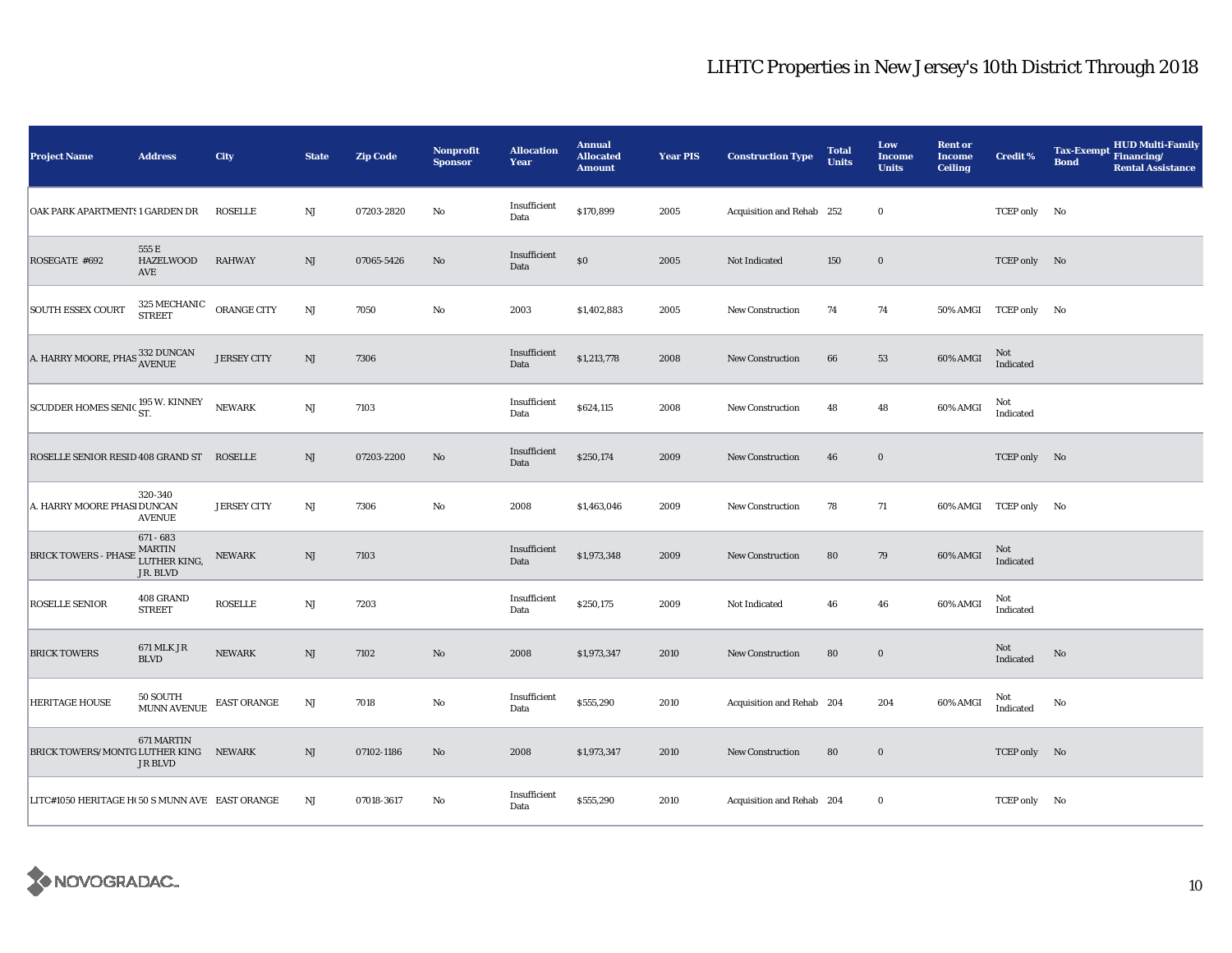| <b>Project Name</b>                                  | <b>Address</b>                                      | City               | <b>State</b>           | <b>Zip Code</b> | Nonprofit<br><b>Sponsor</b> | <b>Allocation</b><br>Year | <b>Annual</b><br><b>Allocated</b><br><b>Amount</b> | <b>Year PIS</b> | <b>Construction Type</b>  | <b>Total</b><br><b>Units</b> | Low<br>Income<br><b>Units</b> | <b>Rent or</b><br><b>Income</b><br><b>Ceiling</b> | <b>Credit %</b>       | HUD Multi-Family<br>Financing/<br><b>Tax-Exempt</b><br><b>Bond</b><br><b>Rental Assistance</b> |
|------------------------------------------------------|-----------------------------------------------------|--------------------|------------------------|-----------------|-----------------------------|---------------------------|----------------------------------------------------|-----------------|---------------------------|------------------------------|-------------------------------|---------------------------------------------------|-----------------------|------------------------------------------------------------------------------------------------|
| OAK PARK APARTMENTS 1 GARDEN DR                      |                                                     | <b>ROSELLE</b>     | NJ                     | 07203-2820      | No                          | Insufficient<br>Data      | \$170,899                                          | 2005            | Acquisition and Rehab 252 |                              | $\bf{0}$                      |                                                   | TCEP only No          |                                                                                                |
| ROSEGATE #692                                        | 555 E<br><b>HAZELWOOD</b><br>AVE                    | <b>RAHWAY</b>      | $\mathbf{N}\mathbf{J}$ | 07065-5426      | $\rm No$                    | Insufficient<br>Data      | $\$0$                                              | 2005            | Not Indicated             | 150                          | $\mathbf 0$                   |                                                   | TCEP only No          |                                                                                                |
| <b>SOUTH ESSEX COURT</b>                             | $325\,{\rm MECHANIC}$ ORANGE CITY STREET            |                    | $\mathbf{N}\mathbf{J}$ | 7050            | No                          | 2003                      | \$1,402,883                                        | 2005            | New Construction          | 74                           | 74                            |                                                   | 50% AMGI TCEP only No |                                                                                                |
| A. HARRY MOORE, PHAS $^{332}_{\Lambda \text{VENUE}}$ |                                                     | <b>JERSEY CITY</b> | NJ                     | 7306            |                             | Insufficient<br>Data      | \$1,213,778                                        | 2008            | <b>New Construction</b>   | 66                           | 53                            | 60% AMGI                                          | Not<br>Indicated      |                                                                                                |
| SCUDDER HOMES SENIC <sup>195</sup> W. KINNEY         |                                                     | NEWARK             | $\mathbf{N}\mathbf{J}$ | 7103            |                             | Insufficient<br>Data      | \$624,115                                          | 2008            | <b>New Construction</b>   | 48                           | 48                            | 60% AMGI                                          | Not<br>Indicated      |                                                                                                |
| ROSELLE SENIOR RESID 408 GRAND ST ROSELLE            |                                                     |                    | NJ                     | 07203-2200      | No                          | Insufficient<br>Data      | \$250,174                                          | 2009            | New Construction          | 46                           | $\bf{0}$                      |                                                   | TCEP only No          |                                                                                                |
| A. HARRY MOORE PHASI DUNCAN                          | 320-340<br><b>AVENUE</b>                            | <b>JERSEY CITY</b> | NJ                     | 7306            | No                          | 2008                      | \$1,463,046                                        | 2009            | New Construction          | 78                           | 71                            |                                                   | 60% AMGI TCEP only No |                                                                                                |
| <b>BRICK TOWERS - PHASE</b>                          | $671 - 683$<br>, MARTIN<br>LUTHER KING,<br>JR. BLVD | <b>NEWARK</b>      | $\rm{NJ}$              | 7103            |                             | Insufficient<br>Data      | \$1,973,348                                        | 2009            | New Construction          | 80                           | 79                            | 60% AMGI                                          | Not<br>Indicated      |                                                                                                |
| ROSELLE SENIOR                                       | 408 GRAND<br><b>STREET</b>                          | <b>ROSELLE</b>     | $\mathbf{N}\mathbf{J}$ | 7203            |                             | Insufficient<br>Data      | \$250,175                                          | 2009            | Not Indicated             | 46                           | 46                            | 60% AMGI                                          | Not<br>Indicated      |                                                                                                |
| <b>BRICK TOWERS</b>                                  | <b>671 MLK JR</b><br><b>BLVD</b>                    | <b>NEWARK</b>      | $\rm{NJ}$              | 7102            | $\rm No$                    | 2008                      | \$1,973,347                                        | 2010            | <b>New Construction</b>   | 80                           | $\mathbf 0$                   |                                                   | Not<br>Indicated      | $\rm No$                                                                                       |
| <b>HERITAGE HOUSE</b>                                | 50 SOUTH<br><b>MUNN AVENUE</b>                      | EAST ORANGE        | NJ                     | 7018            | No                          | Insufficient<br>Data      | \$555,290                                          | 2010            | Acquisition and Rehab 204 |                              | 204                           | 60% AMGI                                          | Not<br>Indicated      | No                                                                                             |
| BRICK TOWERS/MONTG LUTHER KING NEWARK                | 671 MARTIN<br><b>JR BLVD</b>                        |                    | NJ                     | 07102-1186      | $\rm No$                    | 2008                      | \$1,973,347                                        | 2010            | <b>New Construction</b>   | 80                           | $\boldsymbol{0}$              |                                                   | TCEP only No          |                                                                                                |
| LITC#1050 HERITAGE H(50 S MUNN AVE EAST ORANGE       |                                                     |                    | NJ                     | 07018-3617      | No                          | Insufficient<br>Data      | \$555,290                                          | 2010            | Acquisition and Rehab 204 |                              | $\bf{0}$                      |                                                   | TCEP only No          |                                                                                                |

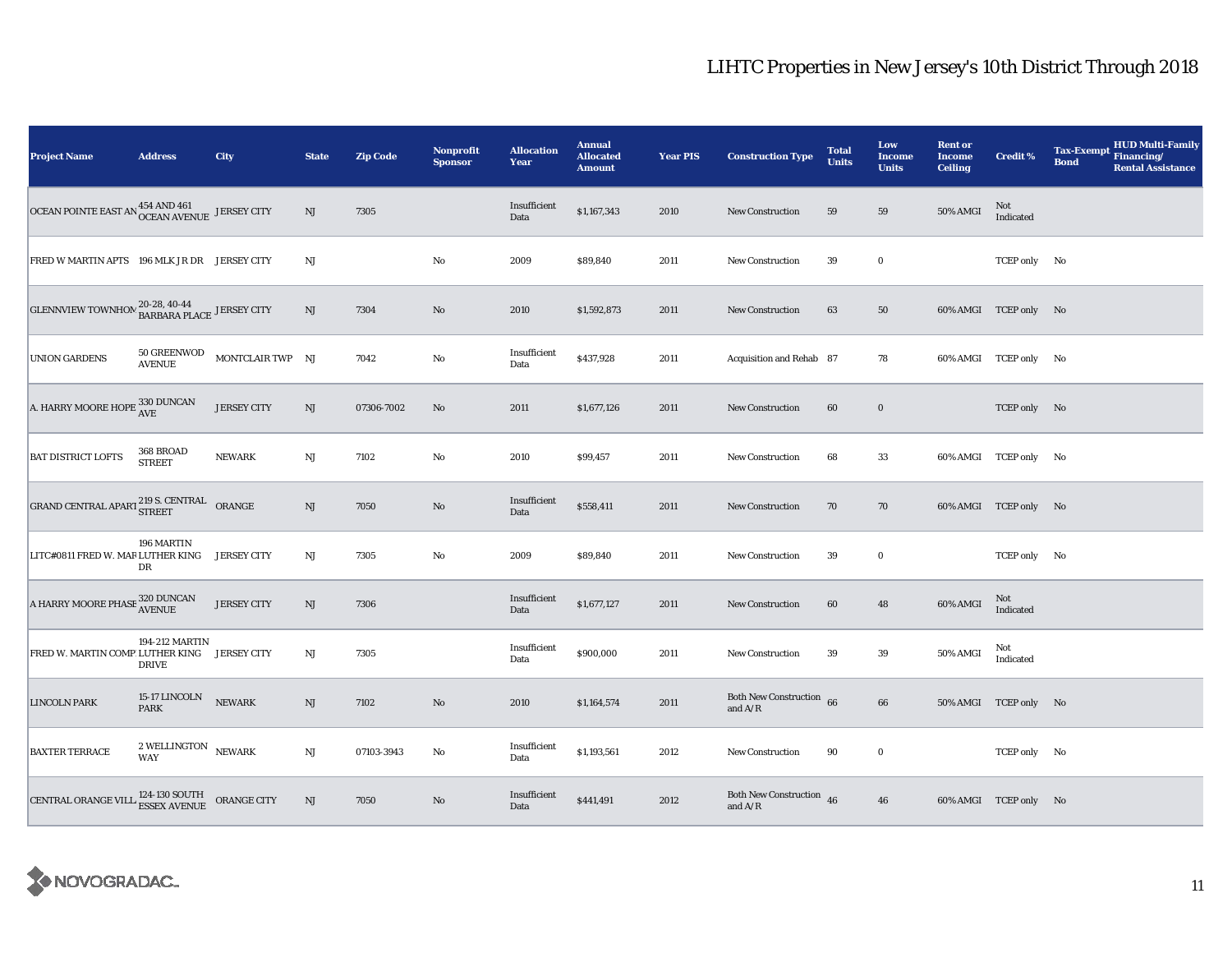| <b>Project Name</b>                                                    | <b>Address</b>                                        | City               | <b>State</b> | <b>Zip Code</b> | Nonprofit<br><b>Sponsor</b> | <b>Allocation</b><br>Year | <b>Annual</b><br><b>Allocated</b><br><b>Amount</b> | <b>Year PIS</b> | <b>Construction Type</b>                                                          | <b>Total</b><br><b>Units</b> | Low<br>Income<br><b>Units</b> | <b>Rent or</b><br><b>Income</b><br><b>Ceiling</b> | <b>Credit %</b>       | <b>HUD Multi-Family</b><br><b>Tax-Exempt</b><br>Financing/<br><b>Bond</b><br><b>Rental Assistance</b> |
|------------------------------------------------------------------------|-------------------------------------------------------|--------------------|--------------|-----------------|-----------------------------|---------------------------|----------------------------------------------------|-----------------|-----------------------------------------------------------------------------------|------------------------------|-------------------------------|---------------------------------------------------|-----------------------|-------------------------------------------------------------------------------------------------------|
| OCEAN POINTE EAST AN $^{454}_{\rm OCEAN\; AVENUE}$ JERSEY CITY         |                                                       |                    | NJ           | 7305            |                             | Insufficient<br>Data      | \$1,167,343                                        | 2010            | New Construction                                                                  | 59                           | 59                            | 50% AMGI                                          | Not<br>Indicated      |                                                                                                       |
| FRED W MARTIN APTS 196 MLK JR DR JERSEY CITY                           |                                                       |                    | NJ           |                 | $\mathbf {No}$              | 2009                      | \$89,840                                           | 2011            | New Construction                                                                  | 39                           | $\bf{0}$                      |                                                   | TCEP only No          |                                                                                                       |
| GLENNVIEW TOWNHOM $^{20-28, 40-44}_{\text{BARBARA PLACE}}$ JERSEY CITY |                                                       |                    | NJ           | 7304            | No                          | 2010                      | \$1,592,873                                        | 2011            | <b>New Construction</b>                                                           | 63                           | 50                            |                                                   | 60% AMGI TCEP only No |                                                                                                       |
| <b>UNION GARDENS</b>                                                   | <b>50 GREENWOD</b><br><b>AVENUE</b>                   | MONTCLAIR TWP NJ   |              | 7042            | No                          | Insufficient<br>Data      | \$437,928                                          | 2011            | Acquisition and Rehab 87                                                          |                              | 78                            |                                                   | 60% AMGI TCEP only No |                                                                                                       |
| A. HARRY MOORE HOPE $\frac{330}{\mathrm{AVE}}$                         |                                                       | <b>JERSEY CITY</b> | NJ           | 07306-7002      | No                          | 2011                      | \$1,677,126                                        | 2011            | <b>New Construction</b>                                                           | 60                           | $\bf{0}$                      |                                                   | TCEP only No          |                                                                                                       |
| <b>BAT DISTRICT LOFTS</b>                                              | 368 BROAD<br><b>STREET</b>                            | <b>NEWARK</b>      | NJ           | 7102            | $\rm No$                    | 2010                      | \$99,457                                           | 2011            | New Construction                                                                  | 68                           | 33                            |                                                   | 60% AMGI TCEP only No |                                                                                                       |
| GRAND CENTRAL APART $^{219}_{\rm STREET}$ ORANGE                       |                                                       |                    | NJ           | 7050            | No                          | Insufficient<br>Data      | \$558,411                                          | 2011            | <b>New Construction</b>                                                           | 70                           | 70                            |                                                   | 60% AMGI TCEP only No |                                                                                                       |
| LITC#0811 FRED W. MAR LUTHER KING                                      | 196 MARTIN<br>DR                                      | <b>JERSEY CITY</b> | NJ           | 7305            | $\rm No$                    | 2009                      | \$89,840                                           | 2011            | <b>New Construction</b>                                                           | 39                           | $\bf{0}$                      |                                                   | TCEP only No          |                                                                                                       |
| A HARRY MOORE PHASE $_{\rm AVENUE}^{320}$ DUNCAN                       |                                                       | <b>JERSEY CITY</b> | NJ           | 7306            |                             | Insufficient<br>Data      | \$1,677,127                                        | 2011            | New Construction                                                                  | 60                           | 48                            | 60% AMGI                                          | Not<br>Indicated      |                                                                                                       |
| FRED W. MARTIN COMP LUTHER KING JERSEY CITY                            | 194-212 MARTIN<br>DRIVE                               |                    | NJ           | 7305            |                             | Insufficient<br>Data      | \$900,000                                          | 2011            | <b>New Construction</b>                                                           | 39                           | 39                            | 50% AMGI                                          | Not<br>Indicated      |                                                                                                       |
| <b>LINCOLN PARK</b>                                                    | 15-17 LINCOLN<br><b>PARK</b>                          | <b>NEWARK</b>      | NJ           | 7102            | No                          | 2010                      | \$1,164,574                                        | 2011            | Both New Construction 66<br>and $\ensuremath{\mathrm{A}}/\ensuremath{\mathrm{R}}$ |                              | 66                            |                                                   | 50% AMGI TCEP only No |                                                                                                       |
| <b>BAXTER TERRACE</b>                                                  | $2$ WELLINGTON $\,$ NEWARK<br><b>WAY</b>              |                    | NJ           | 07103-3943      | $\rm No$                    | Insufficient<br>Data      | \$1,193,561                                        | 2012            | <b>New Construction</b>                                                           | 90                           | $\bf{0}$                      |                                                   | TCEP only No          |                                                                                                       |
| <b>CENTRAL ORANGE VILL</b>                                             | 124-130 SOUTH ORANGE CITY<br>ESSEX AVENUE ORANGE CITY |                    | NJ           | 7050            | No                          | Insufficient<br>Data      | \$441,491                                          | 2012            | Both New Construction 46<br>and $A/R$                                             |                              | 46                            |                                                   | 60% AMGI TCEP only No |                                                                                                       |

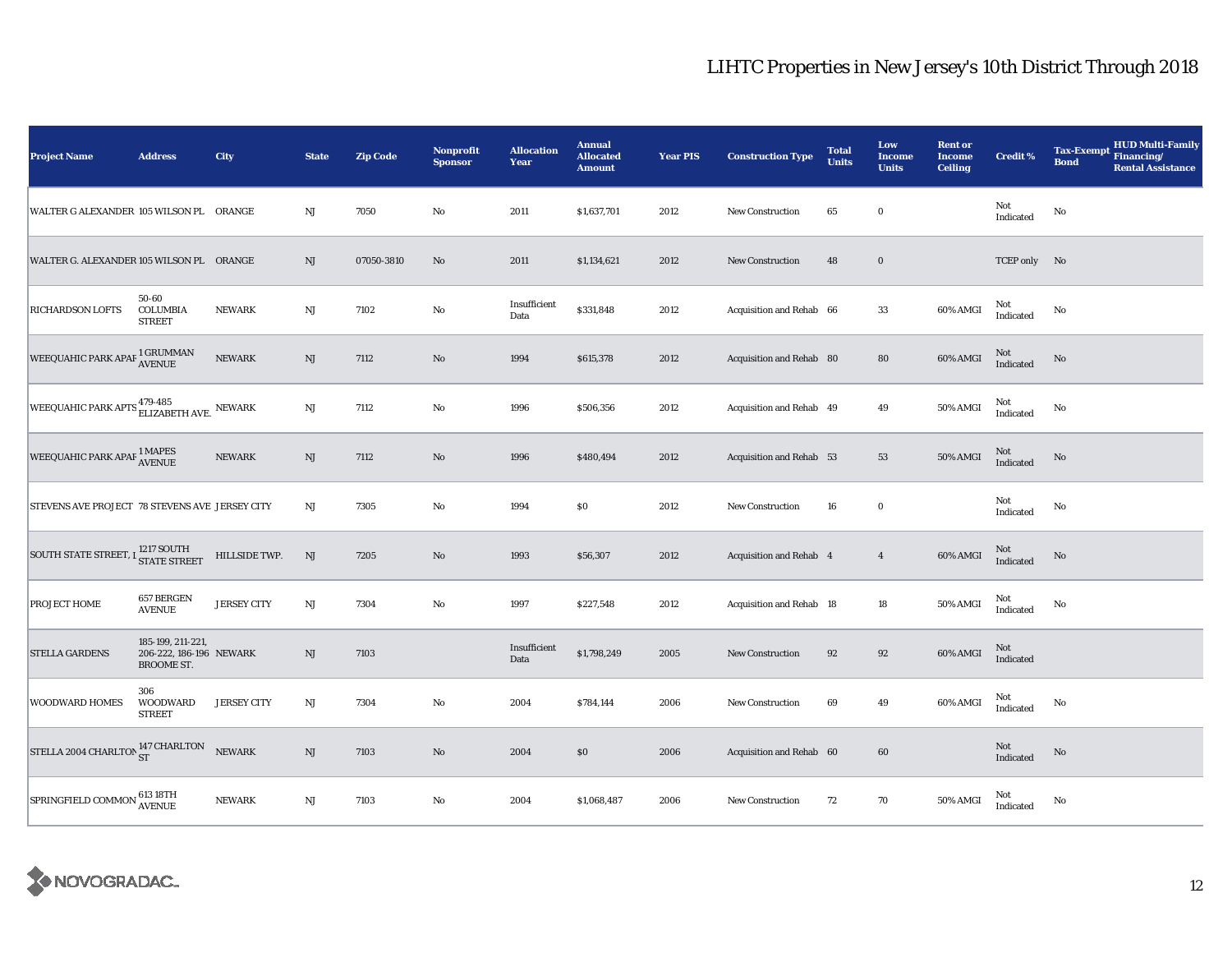| <b>Project Name</b>                                               | <b>Address</b>                                             | City               | <b>State</b>           | <b>Zip Code</b> | <b>Nonprofit</b><br><b>Sponsor</b> | <b>Allocation</b><br>Year | <b>Annual</b><br><b>Allocated</b><br><b>Amount</b> | <b>Year PIS</b> | <b>Construction Type</b> | <b>Total</b><br><b>Units</b> | Low<br><b>Income</b><br><b>Units</b> | <b>Rent or</b><br><b>Income</b><br><b>Ceiling</b> | <b>Credit %</b>  | <b>HUD Multi-Family</b><br><b>Tax-Exempt</b><br>Financing/<br><b>Bond</b><br><b>Rental Assistance</b> |
|-------------------------------------------------------------------|------------------------------------------------------------|--------------------|------------------------|-----------------|------------------------------------|---------------------------|----------------------------------------------------|-----------------|--------------------------|------------------------------|--------------------------------------|---------------------------------------------------|------------------|-------------------------------------------------------------------------------------------------------|
| WALTER G ALEXANDER 105 WILSON PL ORANGE                           |                                                            |                    | $\mathbf{N}\mathbf{J}$ | 7050            | $\mathbf{No}$                      | 2011                      | \$1,637,701                                        | 2012            | <b>New Construction</b>  | 65                           | $\bf{0}$                             |                                                   | Not<br>Indicated | No                                                                                                    |
| WALTER G. ALEXANDER 105 WILSON PL ORANGE                          |                                                            |                    | $\rm{NJ}$              | 07050-3810      | $\mathbf{N}\mathbf{o}$             | 2011                      | \$1,134,621                                        | 2012            | <b>New Construction</b>  | 48                           | $\mathbf 0$                          |                                                   | TCEP only No     |                                                                                                       |
| RICHARDSON LOFTS                                                  | 50-60<br><b>COLUMBIA</b><br><b>STREET</b>                  | NEWARK             | $_{\rm NJ}$            | 7102            | No                                 | Insufficient<br>Data      | \$331,848                                          | 2012            | Acquisition and Rehab 66 |                              | 33                                   | $60\%$ AMGI                                       | Not<br>Indicated | No                                                                                                    |
| WEEQUAHIC PARK APAF 1 GRUMMAN                                     |                                                            | <b>NEWARK</b>      | $\rm{NJ}$              | 7112            | $\mathbf{N}\mathbf{o}$             | 1994                      | \$615,378                                          | 2012            | Acquisition and Rehab 80 |                              | 80                                   | 60% AMGI                                          | Not<br>Indicated | $\rm No$                                                                                              |
| WEEQUAHIC PARK APTS $_{\rm ELIZABETH\;AVE.}^{\rm 479-485}$ NEWARK |                                                            |                    | $_{\rm NJ}$            | 7112            | No                                 | 1996                      | \$506,356                                          | 2012            | Acquisition and Rehab 49 |                              | 49                                   | 50% AMGI                                          | Not<br>Indicated | No                                                                                                    |
| WEEQUAHIC PARK APAF <sup>1</sup> MAPES                            |                                                            | <b>NEWARK</b>      | $\mathbf{N}\mathbf{J}$ | 7112            | $\mathbf{No}$                      | 1996                      | \$480,494                                          | 2012            | Acquisition and Rehab 53 |                              | 53                                   | 50% AMGI                                          | Not<br>Indicated | No                                                                                                    |
| STEVENS AVE PROJECT 78 STEVENS AVE JERSEY CITY                    |                                                            |                    | $_{\rm NJ}$            | 7305            | $\mathbf{No}$                      | 1994                      | \$0                                                | 2012            | <b>New Construction</b>  | 16                           | $\bf{0}$                             |                                                   | Not<br>Indicated | No                                                                                                    |
| SOUTH STATE STREET, I <sup>1217</sup> SOUTH                       |                                                            | HILLSIDE TWP.      | $\mathbf{N}\mathbf{J}$ | 7205            | No                                 | 1993                      | \$56,307                                           | 2012            | Acquisition and Rehab 4  |                              | $\overline{4}$                       | 60% AMGI                                          | Not<br>Indicated | No                                                                                                    |
| PROJECT HOME                                                      | 657 BERGEN<br><b>AVENUE</b>                                | <b>JERSEY CITY</b> | $_{\rm NJ}$            | 7304            | No                                 | 1997                      | \$227,548                                          | 2012            | Acquisition and Rehab 18 |                              | 18                                   | 50% AMGI                                          | Not<br>Indicated | No                                                                                                    |
| <b>STELLA GARDENS</b>                                             | 185-199, 211-221,<br>206-222, 186-196 NEWARK<br>BROOME ST. |                    | $\rm{NJ}$              | 7103            |                                    | Insufficient<br>Data      | \$1,798,249                                        | 2005            | New Construction         | 92                           | 92                                   | 60% AMGI                                          | Not<br>Indicated |                                                                                                       |
| WOODWARD HOMES                                                    | 306<br><b>WOODWARD</b><br><b>STREET</b>                    | <b>JERSEY CITY</b> | $_{\rm NJ}$            | 7304            | No                                 | 2004                      | \$784,144                                          | 2006            | <b>New Construction</b>  | 69                           | 49                                   | 60% AMGI                                          | Not<br>Indicated | No                                                                                                    |
| STELLA 2004 CHARLTON 147 CHARLTON                                 |                                                            | <b>NEWARK</b>      | $\mathbf{N}\mathbf{J}$ | 7103            | $\mathbf{No}$                      | 2004                      | \$0                                                | 2006            | Acquisition and Rehab 60 |                              | 60                                   |                                                   | Not<br>Indicated | No                                                                                                    |
| SPRINGFIELD COMMON                                                | 613 18TH<br>AVENUE                                         | <b>NEWARK</b>      | $\mathbf{N}\mathbf{J}$ | 7103            | $\mathbf{No}$                      | 2004                      | \$1,068,487                                        | 2006            | New Construction         | 72                           | 70                                   | 50% AMGI                                          | Not<br>Indicated | No                                                                                                    |

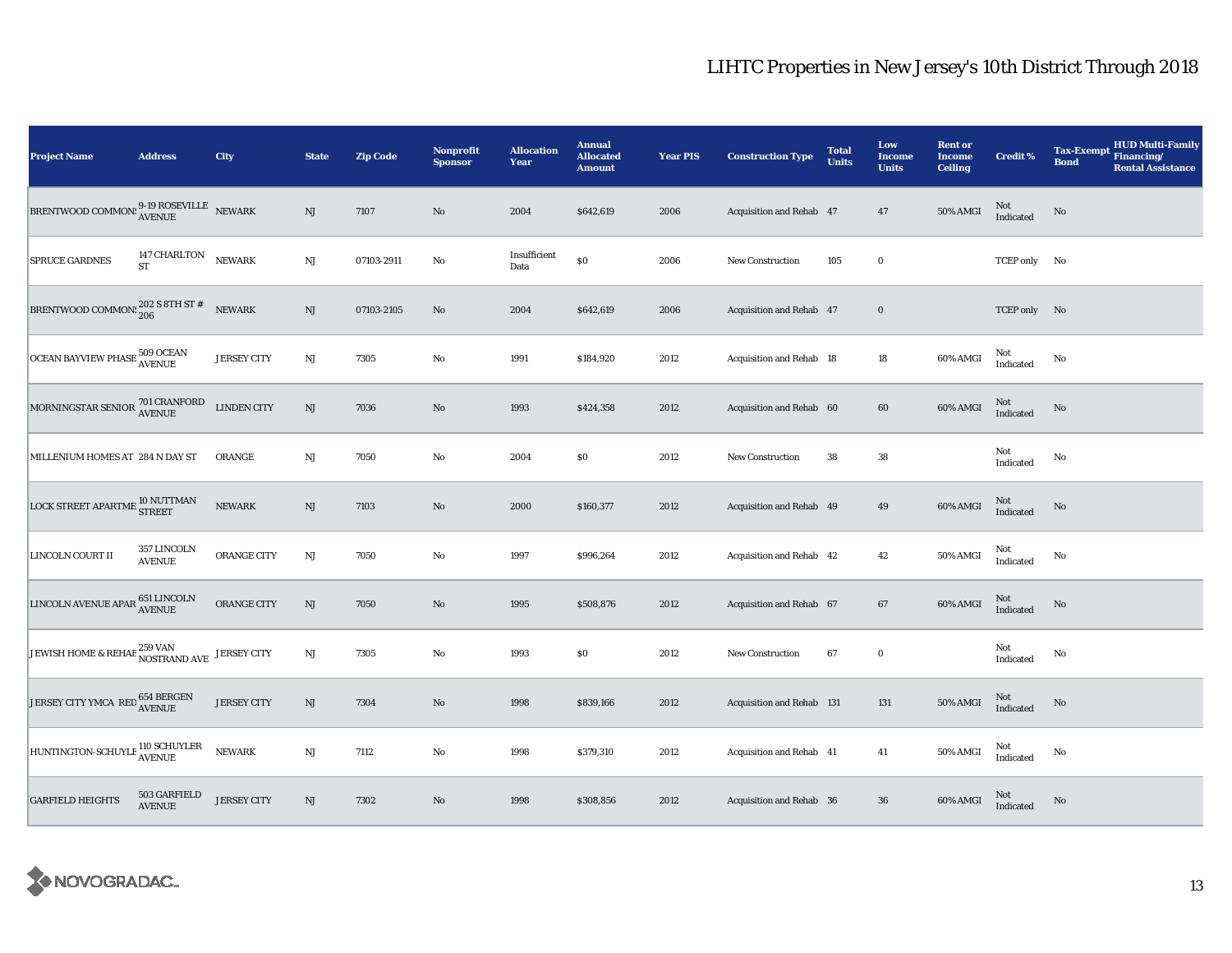| <b>Project Name</b>                                                                                                                                                | <b>Address</b>                | City               | <b>State</b>           | <b>Zip Code</b> | Nonprofit<br><b>Sponsor</b> | <b>Allocation</b><br>Year | <b>Annual</b><br><b>Allocated</b><br><b>Amount</b> | <b>Year PIS</b> | <b>Construction Type</b>  | <b>Total</b><br><b>Units</b> | Low<br><b>Income</b><br><b>Units</b> | <b>Rent or</b><br><b>Income</b><br><b>Ceiling</b> | <b>Credit %</b>     | <b>HUD Multi-Family</b><br><b>Tax-Exempt</b><br>Financing/<br><b>Bond</b><br><b>Rental Assistance</b> |
|--------------------------------------------------------------------------------------------------------------------------------------------------------------------|-------------------------------|--------------------|------------------------|-----------------|-----------------------------|---------------------------|----------------------------------------------------|-----------------|---------------------------|------------------------------|--------------------------------------|---------------------------------------------------|---------------------|-------------------------------------------------------------------------------------------------------|
| ${\small \texttt{BRENTWOOD}\space COMMON!}\begin{smallmatrix} 9\text{-}19 \text{ ROSEVILLE} \end{smallmatrix} \begin{smallmatrix} \text{NEWARK} \end{smallmatrix}$ |                               |                    | $\rm{NJ}$              | 7107            | $\rm No$                    | 2004                      | \$642,619                                          | 2006            | Acquisition and Rehab 47  |                              | 47                                   | 50% AMGI                                          | $\rm Not$ Indicated | No                                                                                                    |
| SPRUCE GARDNES                                                                                                                                                     | 147 CHARLTON<br><b>ST</b>     | <b>NEWARK</b>      | $_{\rm NJ}$            | 07103-2911      | No                          | Insufficient<br>Data      | $\$0$                                              | 2006            | <b>New Construction</b>   | 105                          | $\mathbf 0$                          |                                                   | TCEP only           | No                                                                                                    |
| BRENTWOOD COMMON: $^{202}_{206}$ S 8TH ST #                                                                                                                        |                               | <b>NEWARK</b>      | NJ                     | 07103-2105      | No                          | 2004                      | \$642,619                                          | 2006            | Acquisition and Rehab 47  |                              | $\mathbf 0$                          |                                                   | TCEP only No        |                                                                                                       |
| OCEAN BAYVIEW PHASE 509 OCEAN                                                                                                                                      |                               | <b>JERSEY CITY</b> | NJ                     | 7305            | $\rm No$                    | 1991                      | \$184,920                                          | 2012            | Acquisition and Rehab 18  |                              | $18\,$                               | 60% AMGI                                          | Not<br>Indicated    | No                                                                                                    |
| MORNINGSTAR SENIOR <sup>701</sup> CRANFORD<br>AVENUE                                                                                                               |                               | <b>LINDEN CITY</b> | $\mathbf{N}\mathbf{J}$ | 7036            | $\rm\thinspace No$          | 1993                      | \$424,358                                          | 2012            | Acquisition and Rehab 60  |                              | 60                                   | 60% AMGI                                          | Not<br>Indicated    | $\rm No$                                                                                              |
| MILLENIUM HOMES AT 284 N DAY ST                                                                                                                                    |                               | ORANGE             | $\mathbf{N}\mathbf{J}$ | 7050            | $\rm No$                    | 2004                      | \$0                                                | 2012            | <b>New Construction</b>   | 38                           | ${\bf 38}$                           |                                                   | Not<br>Indicated    | $\rm No$                                                                                              |
| LOCK STREET APARTME <sup>10</sup> NUTTMAN                                                                                                                          |                               | <b>NEWARK</b>      | $\rm{NJ}$              | 7103            | $\rm No$                    | 2000                      | \$160,377                                          | 2012            | Acquisition and Rehab 49  |                              | 49                                   | 60% AMGI                                          | $\rm Not$ Indicated | No                                                                                                    |
| LINCOLN COURT II                                                                                                                                                   | 357 LINCOLN<br><b>AVENUE</b>  | ORANGE CITY        | $_{\rm NJ}$            | 7050            | No                          | 1997                      | \$996,264                                          | 2012            | Acquisition and Rehab 42  |                              | $42\,$                               | 50% AMGI                                          | Not<br>Indicated    | No                                                                                                    |
| $\fbox{\texttt{LINCOLN} AVENUE APAR} \begin{tabular}{@{}ll@{}} \hspace{-0.5cm} 651 LINCOLN \\ \hspace{-0.5cm} \textbf{ANENUE} \end{tabular}$                       |                               | ORANGE CITY        | NJ                     | 7050            | No                          | 1995                      | \$508,876                                          | 2012            | Acquisition and Rehab 67  |                              | 67                                   | 60% AMGI                                          | Not<br>Indicated    | No                                                                                                    |
| JEWISH HOME & REHAB 259 VAN                                                                                                                                        |                               | <b>JERSEY CITY</b> | $\mathbf{N}\mathbf{J}$ | 7305            | No                          | 1993                      | \$0                                                | 2012            | New Construction          | 67                           | $\bf{0}$                             |                                                   | Not<br>Indicated    | $\mathbf{No}$                                                                                         |
| JERSEY CITY YMCA $\verb RED ^{654}$ BERGEN AVENUE                                                                                                                  |                               | <b>JERSEY CITY</b> | $\mathbf{N}\mathbf{J}$ | 7304            | $\rm No$                    | 1998                      | \$839,166                                          | 2012            | Acquisition and Rehab 131 |                              | 131                                  | 50% AMGI                                          | Not<br>Indicated    | $\rm No$                                                                                              |
| HUNTINGTON-SCHUYLE 110 SCHUYLER                                                                                                                                    |                               | <b>NEWARK</b>      | $\mathbf{N}\mathbf{J}$ | 7112            | $\rm No$                    | 1998                      | \$379,310                                          | 2012            | Acquisition and Rehab 41  |                              | 41                                   | 50% AMGI                                          | Not<br>Indicated    | No                                                                                                    |
| <b>GARFIELD HEIGHTS</b>                                                                                                                                            | 503 GARFIELD<br><b>AVENUE</b> | <b>JERSEY CITY</b> | $\mathbf{N}\mathbf{J}$ | 7302            | No                          | 1998                      | \$308,856                                          | 2012            | Acquisition and Rehab 36  |                              | ${\bf 36}$                           | 60% AMGI                                          | Not<br>Indicated    | No                                                                                                    |

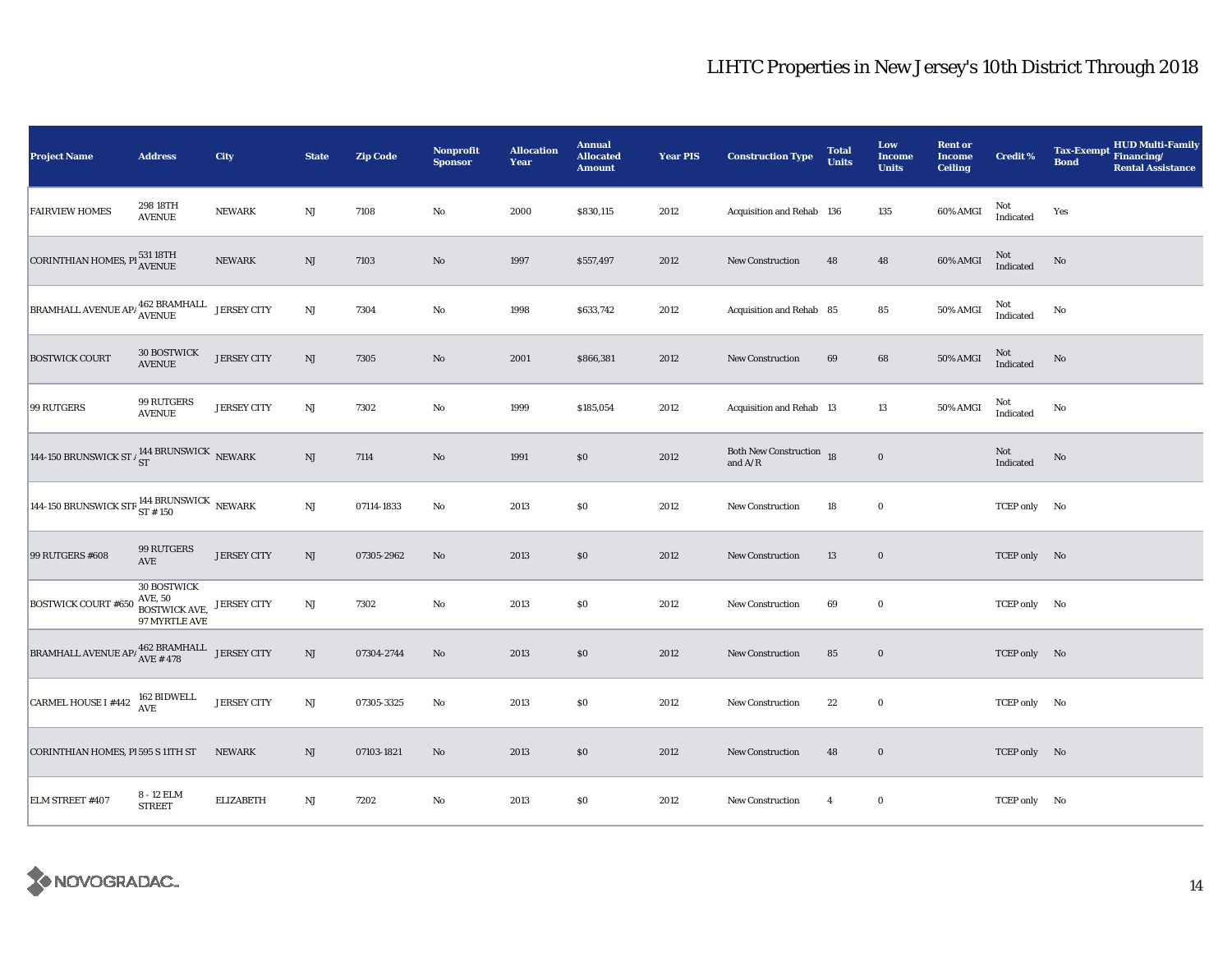| Project Name                                                                                                           | <b>Address</b>                                                  | City               | <b>State</b>           | <b>Zip Code</b> | <b>Nonprofit</b><br><b>Sponsor</b> | <b>Allocation</b><br>Year | <b>Annual</b><br><b>Allocated</b><br><b>Amount</b> | <b>Year PIS</b> | <b>Construction Type</b>                                                          | <b>Total</b><br><b>Units</b> | Low<br><b>Income</b><br><b>Units</b> | <b>Rent or</b><br><b>Income</b><br><b>Ceiling</b> | <b>Credit %</b>  | <b>HUD Multi-Family</b><br><b>Tax-Exempt</b><br>Financing/<br><b>Bond</b><br><b>Rental Assistance</b> |
|------------------------------------------------------------------------------------------------------------------------|-----------------------------------------------------------------|--------------------|------------------------|-----------------|------------------------------------|---------------------------|----------------------------------------------------|-----------------|-----------------------------------------------------------------------------------|------------------------------|--------------------------------------|---------------------------------------------------|------------------|-------------------------------------------------------------------------------------------------------|
| <b>FAIRVIEW HOMES</b>                                                                                                  | 298 18TH<br><b>AVENUE</b>                                       | <b>NEWARK</b>      | $\rm{NJ}$              | 7108            | $\rm No$                           | 2000                      | \$830,115                                          | 2012            | Acquisition and Rehab 136                                                         |                              | 135                                  | 60% AMGI                                          | Not<br>Indicated | Yes                                                                                                   |
| <b>CORINTHIAN HOMES, PI<sup>531 18TH</sup></b>                                                                         |                                                                 | <b>NEWARK</b>      | $\rm{NJ}$              | 7103            | $\rm No$                           | 1997                      | \$557,497                                          | 2012            | <b>New Construction</b>                                                           | 48                           | ${\bf 48}$                           | 60% AMGI                                          | Not<br>Indicated | $\mathbf{No}$                                                                                         |
| BRAMHALL AVENUE AP/ $_{\rm AVENUE}^{462}$ BRAMHALL JERSEY CITY                                                         |                                                                 |                    | $\mathbf{N}\mathbf{J}$ | 7304            | $\rm No$                           | 1998                      | \$633,742                                          | 2012            | Acquisition and Rehab 85                                                          |                              | ${\bf 85}$                           | <b>50% AMGI</b>                                   | Not<br>Indicated | No                                                                                                    |
| <b>BOSTWICK COURT</b>                                                                                                  | <b>30 BOSTWICK</b><br><b>AVENUE</b>                             | <b>JERSEY CITY</b> | NJ                     | 7305            | $\mathbf{N}\mathbf{o}$             | 2001                      | \$866,381                                          | 2012            | <b>New Construction</b>                                                           | 69                           | 68                                   | 50% AMGI                                          | Not<br>Indicated | No                                                                                                    |
| 99 RUTGERS                                                                                                             | 99 RUTGERS<br><b>AVENUE</b>                                     | <b>JERSEY CITY</b> | $_{\rm NJ}$            | 7302            | $\rm No$                           | 1999                      | \$185,054                                          | 2012            | Acquisition and Rehab 13                                                          |                              | 13                                   | 50% AMGI                                          | Not<br>Indicated | No                                                                                                    |
| 144-150 BRUNSWICK ST $\frac{144}{ST}$ BRUNSWICK NEWARK                                                                 |                                                                 |                    | NJ                     | 7114            | $\rm No$                           | 1991                      | \$0                                                | 2012            | Both New Construction 18<br>and $\ensuremath{\mathrm{A}}/\ensuremath{\mathrm{R}}$ |                              | $\bf{0}$                             |                                                   | Not<br>Indicated | No                                                                                                    |
| 144-150 BRUNSWICK STR $^{144}_{ST~\pm~150}$ NEWARK                                                                     |                                                                 |                    | $\rm{NJ}$              | 07114-1833      | No                                 | 2013                      | \$0                                                | 2012            | New Construction                                                                  | 18                           | $\bf{0}$                             |                                                   | TCEP only No     |                                                                                                       |
| 99 RUTGERS #608                                                                                                        | 99 RUTGERS<br>AVE                                               | <b>JERSEY CITY</b> | $\rm{NJ}$              | 07305-2962      | $\mathbf{N}\mathbf{o}$             | 2013                      | \$0                                                | 2012            | New Construction                                                                  | 13                           | $\bf{0}$                             |                                                   | TCEP only No     |                                                                                                       |
| <b>BOSTWICK COURT #650</b>                                                                                             | <b>30 BOSTWICK</b><br>AVE, 50<br>BOSTWICK AVE,<br>97 MYRTLE AVE | JERSEY CITY        | $\mathbf{N}\mathbf{J}$ | 7302            | No                                 | 2013                      | \$0                                                | 2012            | New Construction                                                                  | 69                           | $\bf{0}$                             |                                                   | TCEP only No     |                                                                                                       |
| $\boxed{\textrm{BRAMHALL AVENUE AP}\notimes_{\textrm{AVE}\#478}\nolimits}\nexists\quad \textrm{JERSEY}\,\textrm{CTTY}$ |                                                                 |                    | $\mathbf{N}\mathbf{J}$ | 07304-2744      | $\rm No$                           | 2013                      | \$0                                                | 2012            | <b>New Construction</b>                                                           | 85                           | $\bf{0}$                             |                                                   | TCEP only No     |                                                                                                       |
| <b>CARMEL HOUSE I #442</b>                                                                                             | 162 BIDWELL<br><b>AVE</b>                                       | <b>JERSEY CITY</b> | NJ                     | 07305-3325      | No                                 | 2013                      | \$0                                                | 2012            | New Construction                                                                  | 22                           | $\bf{0}$                             |                                                   | TCEP only No     |                                                                                                       |
| CORINTHIAN HOMES, PI 595 S 11TH ST                                                                                     |                                                                 | <b>NEWARK</b>      | NJ                     | 07103-1821      | $\rm No$                           | 2013                      | \$0                                                | 2012            | New Construction                                                                  | 48                           | $\bf{0}$                             |                                                   | TCEP only No     |                                                                                                       |
| ELM STREET #407                                                                                                        | 8 - 12 ELM<br><b>STREET</b>                                     | <b>ELIZABETH</b>   | NJ                     | 7202            | No                                 | 2013                      | \$0                                                | 2012            | New Construction                                                                  | $\overline{4}$               | $\bf{0}$                             |                                                   | TCEP only No     |                                                                                                       |

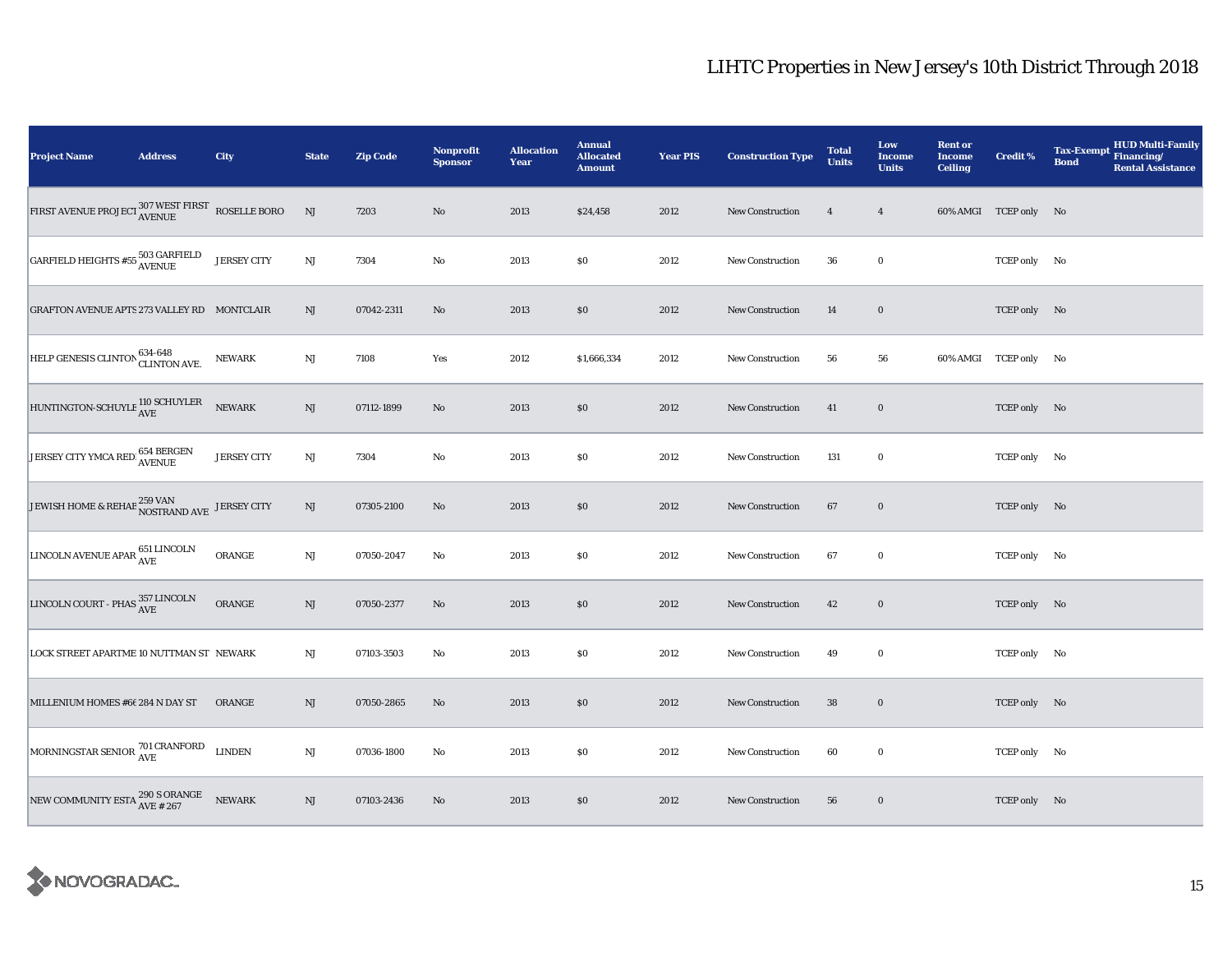| <b>Project Name</b>                                                           | <b>Address</b> | City               | <b>State</b> | <b>Zip Code</b> | <b>Nonprofit</b><br><b>Sponsor</b> | <b>Allocation</b><br>Year | <b>Annual</b><br><b>Allocated</b><br><b>Amount</b> | <b>Year PIS</b> | <b>Construction Type</b> | <b>Total</b><br><b>Units</b> | Low<br><b>Income</b><br><b>Units</b> | <b>Rent or</b><br><b>Income</b><br><b>Ceiling</b> | Credit %              | <b>HUD Multi-Family</b><br><b>Tax-Exempt</b><br>Financing/<br><b>Bond</b><br><b>Rental Assistance</b> |
|-------------------------------------------------------------------------------|----------------|--------------------|--------------|-----------------|------------------------------------|---------------------------|----------------------------------------------------|-----------------|--------------------------|------------------------------|--------------------------------------|---------------------------------------------------|-----------------------|-------------------------------------------------------------------------------------------------------|
|                                                                               |                |                    | NJ           | 7203            | $\mathbf{N}\mathbf{o}$             | 2013                      | \$24,458                                           | 2012            | New Construction         | $\overline{4}$               | $\overline{4}$                       |                                                   | 60% AMGI TCEP only No |                                                                                                       |
| $\boxed{\text{GARFIED HEIGHTS $\#55$}}_{\text{AVENUE}}^{503\ \text{GARFIED}}$ |                | <b>JERSEY CITY</b> | NJ           | 7304            | $\mathbf{No}$                      | 2013                      | \$0                                                | 2012            | <b>New Construction</b>  | 36                           | $\bf{0}$                             |                                                   | TCEP only No          |                                                                                                       |
| <b>GRAFTON AVENUE APTS 273 VALLEY RD MONTCLAIR</b>                            |                |                    | NJ           | 07042-2311      | No                                 | 2013                      | \$0                                                | 2012            | <b>New Construction</b>  | 14                           | $\bf{0}$                             |                                                   | TCEP only No          |                                                                                                       |
| HELP GENESIS CLINTON 634-648<br>CLINTON AVE.                                  |                | NEWARK             | $_{\rm NJ}$  | 7108            | Yes                                | 2012                      | \$1,666,334                                        | 2012            | New Construction         | 56                           | 56                                   |                                                   | 60% AMGI TCEP only No |                                                                                                       |
| HUNTINGTON-SCHUYLE 110 SCHUYLER                                               |                | <b>NEWARK</b>      | NJ           | 07112-1899      | No                                 | 2013                      | \$0                                                | 2012            | <b>New Construction</b>  | 41                           | $\bf{0}$                             |                                                   | TCEP only No          |                                                                                                       |
| JERSEY CITY YMCA RED 654 BERGEN                                               |                | <b>JERSEY CITY</b> | $\rm{NJ}$    | 7304            | No                                 | 2013                      | \$0                                                | 2012            | New Construction         | 131                          | $\bf{0}$                             |                                                   | TCEP only No          |                                                                                                       |
| JEWISH HOME & REHAB $^{259}$ VAN JERSEY CITY                                  |                |                    | $\rm{NJ}$    | 07305-2100      | No                                 | 2013                      | \$0                                                | 2012            | <b>New Construction</b>  | 67                           | $\bf{0}$                             |                                                   | TCEP only No          |                                                                                                       |
| LINCOLN AVENUE APAR $^{651}_{\hbox{AVE}}$                                     |                | ORANGE             | $\rm{NJ}$    | 07050-2047      | No                                 | 2013                      | \$0                                                | 2012            | New Construction         | 67                           | $\bf{0}$                             |                                                   | TCEP only No          |                                                                                                       |
| LINCOLN COURT - PHAS $^{357\, \rm LINCOLN}_{\rm AVE}$                         |                | ORANGE             | $\rm{NJ}$    | 07050-2377      | $\mathbf{No}$                      | 2013                      | \$0                                                | 2012            | New Construction         | 42                           | $\bf{0}$                             |                                                   | TCEP only No          |                                                                                                       |
| LOCK STREET APARTME 10 NUTTMAN ST NEWARK                                      |                |                    | NJ           | 07103-3503      | No                                 | 2013                      | \$0                                                | 2012            | <b>New Construction</b>  | 49                           | $\bf{0}$                             |                                                   | TCEP only No          |                                                                                                       |
| MILLENIUM HOMES #66 284 N DAY ST                                              |                | ORANGE             | NJ           | 07050-2865      | No                                 | 2013                      | \$0                                                | 2012            | <b>New Construction</b>  | 38                           | $\bf{0}$                             |                                                   | TCEP only No          |                                                                                                       |
| MORNINGSTAR SENIOR 701 CRANFORD                                               |                | <b>LINDEN</b>      | NJ           | 07036-1800      | No                                 | 2013                      | \$0                                                | 2012            | <b>New Construction</b>  | 60                           | $\bf{0}$                             |                                                   | TCEP only No          |                                                                                                       |
| NEW COMMUNITY ESTA $_{\rm AVE~ {\#}~ 267}^{290~{\rm S}}$ ORANGE               |                | <b>NEWARK</b>      | NJ           | 07103-2436      | No                                 | 2013                      | \$0                                                | 2012            | New Construction         | 56                           | $\bf{0}$                             |                                                   | TCEP only No          |                                                                                                       |

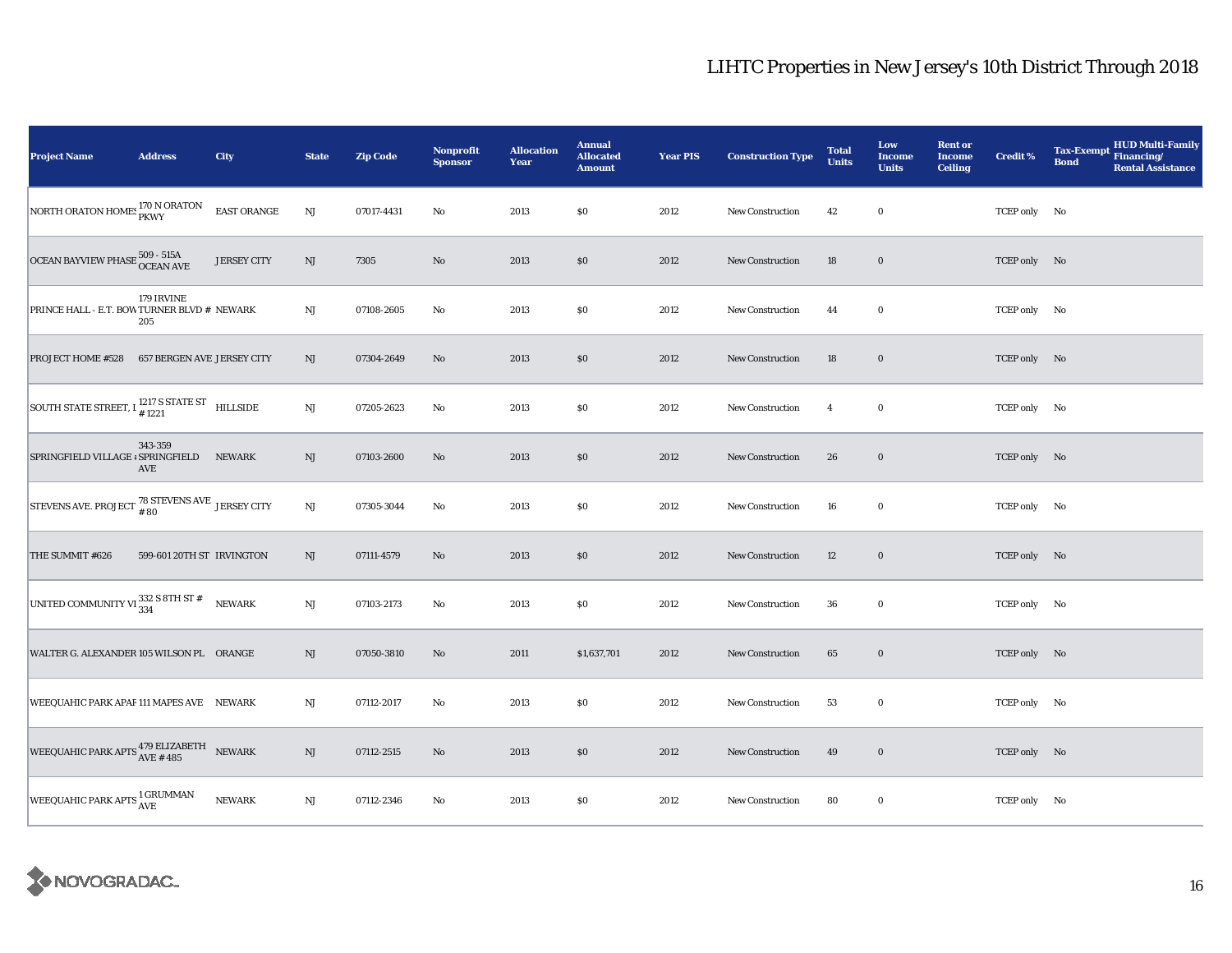| <b>Project Name</b>                                                    | <b>Address</b>             | City               | <b>State</b>           | <b>Zip Code</b> | Nonprofit<br><b>Sponsor</b> | <b>Allocation</b><br>Year | <b>Annual</b><br><b>Allocated</b><br><b>Amount</b> | <b>Year PIS</b> | <b>Construction Type</b> | <b>Total</b><br><b>Units</b> | Low<br><b>Income</b><br><b>Units</b> | <b>Rent or</b><br><b>Income</b><br><b>Ceiling</b> | <b>Credit %</b> | <b>HUD Multi-Family</b><br><b>Tax-Exempt</b><br>Financing/<br><b>Bond</b><br><b>Rental Assistance</b> |
|------------------------------------------------------------------------|----------------------------|--------------------|------------------------|-----------------|-----------------------------|---------------------------|----------------------------------------------------|-----------------|--------------------------|------------------------------|--------------------------------------|---------------------------------------------------|-----------------|-------------------------------------------------------------------------------------------------------|
| NORTH ORATON HOMES 170 N ORATON                                        |                            | EAST ORANGE        | $\rm{NJ}$              | 07017-4431      | $\rm No$                    | 2013                      | \$0                                                | 2012            | New Construction         | 42                           | $\bf{0}$                             |                                                   | TCEP only No    |                                                                                                       |
| OCEAN BAYVIEW PHASE $^{509}_{\Lambda}$ - $^{515A}_{\Lambda}$           |                            | <b>JERSEY CITY</b> | $\rm{NJ}$              | 7305            | No                          | 2013                      | \$0                                                | 2012            | <b>New Construction</b>  | 18                           | $\bf{0}$                             |                                                   | TCEP only No    |                                                                                                       |
| PRINCE HALL - E.T. BOW TURNER BLVD # NEWARK                            | 179 IRVINE<br>205          |                    | $\rm NJ$               | 07108-2605      | No                          | 2013                      | $\$0$                                              | 2012            | <b>New Construction</b>  | 44                           | $\bf{0}$                             |                                                   | TCEP only No    |                                                                                                       |
| <b>PROJECT HOME #528</b>                                               | 657 BERGEN AVE JERSEY CITY |                    | NJ                     | 07304-2649      | No                          | 2013                      | \$0                                                | 2012            | <b>New Construction</b>  | 18                           | $\bf{0}$                             |                                                   | TCEP only No    |                                                                                                       |
| SOUTH STATE STREET, I $^{1217}_{\  \  \, 1221}$ S STATE ST HILLSIDE    |                            |                    | $\mathbf{N}\mathbf{J}$ | 07205-2623      | No                          | 2013                      | \$0                                                | 2012            | <b>New Construction</b>  | $\overline{4}$               | $\bf{0}$                             |                                                   | TCEP only No    |                                                                                                       |
| SPRINGFIELD VILLAGE + SPRINGFIELD                                      | 343-359<br>AVE             | <b>NEWARK</b>      | NJ                     | 07103-2600      | No                          | 2013                      | \$0                                                | 2012            | New Construction         | 26                           | $\bf{0}$                             |                                                   | TCEP only No    |                                                                                                       |
| STEVENS AVE. PROJECT $^{78}_{+80}$ STEVENS AVE JERSEY CITY             |                            |                    | $\rm NJ$               | 07305-3044      | No                          | 2013                      | \$0                                                | 2012            | <b>New Construction</b>  | 16                           | $\bf{0}$                             |                                                   | TCEP only No    |                                                                                                       |
| THE SUMMIT #626                                                        | 599-601 20TH ST IRVINGTON  |                    | NJ                     | 07111-4579      | $\mathbf{N}\mathbf{o}$      | 2013                      | \$0                                                | 2012            | New Construction         | 12                           | $\bf{0}$                             |                                                   | TCEP only No    |                                                                                                       |
| UNITED COMMUNITY VI $\frac{332}{334}$ S 8TH ST #                       |                            | <b>NEWARK</b>      | $_{\rm NJ}$            | 07103-2173      | No                          | 2013                      | \$0                                                | 2012            | <b>New Construction</b>  | 36                           | $\bf{0}$                             |                                                   | TCEP only No    |                                                                                                       |
| WALTER G. ALEXANDER 105 WILSON PL ORANGE                               |                            |                    | NJ                     | 07050-3810      | No                          | 2011                      | \$1,637,701                                        | 2012            | <b>New Construction</b>  | 65                           | $\bf{0}$                             |                                                   | TCEP only No    |                                                                                                       |
| WEEQUAHIC PARK APAF 111 MAPES AVE NEWARK                               |                            |                    | $\rm{NJ}$              | 07112-2017      | No                          | 2013                      | \$0                                                | 2012            | New Construction         | 53                           | $\bf{0}$                             |                                                   | TCEP only No    |                                                                                                       |
| WEEQUAHIC PARK APTS $_{\mbox{AVE}\#485}^{479\text{ ELIZABETH}}$ NEWARK |                            |                    | $_{\rm NJ}$            | 07112-2515      | No                          | 2013                      | \$0                                                | 2012            | <b>New Construction</b>  | 49                           | $\bf{0}$                             |                                                   | TCEP only No    |                                                                                                       |
| WEEQUAHIC PARK APTS <sup>1</sup> GRUMMAN                               |                            | <b>NEWARK</b>      | NJ                     | 07112-2346      | No                          | 2013                      | \$0                                                | 2012            | <b>New Construction</b>  | 80                           | $\bf{0}$                             |                                                   | TCEP only No    |                                                                                                       |

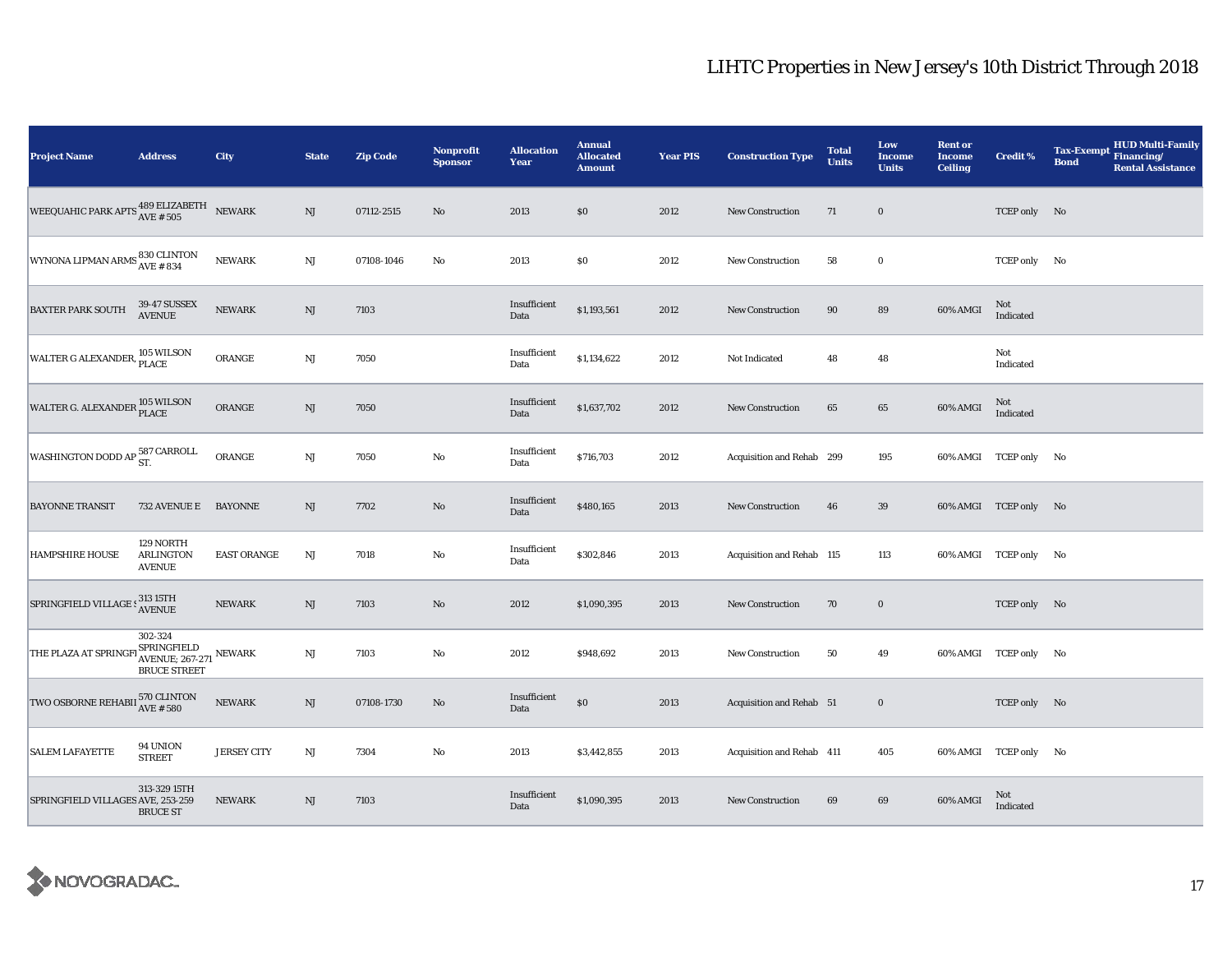| <b>Project Name</b>                                                                   | <b>Address</b>                                                          | City               | <b>State</b> | <b>Zip Code</b> | <b>Nonprofit</b><br><b>Sponsor</b> | <b>Allocation</b><br>Year | <b>Annual</b><br><b>Allocated</b><br><b>Amount</b> | <b>Year PIS</b> | <b>Construction Type</b>  | <b>Total</b><br><b>Units</b> | Low<br><b>Income</b><br><b>Units</b> | <b>Rent or</b><br><b>Income</b><br><b>Ceiling</b> | Credit %              | HUD Multi-Family<br><b>Tax-Exempt</b><br>Financing/<br><b>Bond</b><br><b>Rental Assistance</b> |
|---------------------------------------------------------------------------------------|-------------------------------------------------------------------------|--------------------|--------------|-----------------|------------------------------------|---------------------------|----------------------------------------------------|-----------------|---------------------------|------------------------------|--------------------------------------|---------------------------------------------------|-----------------------|------------------------------------------------------------------------------------------------|
| WEEQUAHIC PARK APTS $^{\bf 489\; ELIZABETH}_{\rm AVE\;\# \;505}$ NEWARK               |                                                                         |                    | NJ           | 07112-2515      | $\mathbf{No}$                      | 2013                      | \$0                                                | 2012            | New Construction          | 71                           | $\bf{0}$                             |                                                   | TCEP only No          |                                                                                                |
| WYNONA LIPMAN ARMS 830 CLINTON                                                        |                                                                         | <b>NEWARK</b>      | NJ           | 07108-1046      | $\rm No$                           | 2013                      | \$0                                                | 2012            | <b>New Construction</b>   | 58                           | $\bf{0}$                             |                                                   | TCEP only No          |                                                                                                |
| <b>BAXTER PARK SOUTH</b>                                                              | 39-47 SUSSEX<br>AVENUE                                                  | <b>NEWARK</b>      | NJ           | 7103            |                                    | Insufficient<br>Data      | \$1,193,561                                        | 2012            | <b>New Construction</b>   | 90                           | 89                                   | 60% AMGI                                          | Not<br>Indicated      |                                                                                                |
| WALTER G ALEXANDER, 105 WILSON                                                        |                                                                         | ORANGE             | NJ           | 7050            |                                    | Insufficient<br>Data      | \$1,134,622                                        | 2012            | Not Indicated             | 48                           | 48                                   |                                                   | Not<br>Indicated      |                                                                                                |
| WALTER G. ALEXANDER 105 WILSON                                                        |                                                                         | ORANGE             | NJ           | 7050            |                                    | Insufficient<br>Data      | \$1,637,702                                        | 2012            | <b>New Construction</b>   | 65                           | 65                                   | 60% AMGI                                          | Not<br>Indicated      |                                                                                                |
| WASHINGTON DODD AP $_{\rm ST.}^{\rm 587~CARROLL}$                                     |                                                                         | ORANGE             | NJ           | 7050            | $\rm No$                           | Insufficient<br>Data      | \$716,703                                          | 2012            | Acquisition and Rehab 299 |                              | 195                                  |                                                   | 60% AMGI TCEP only No |                                                                                                |
| <b>BAYONNE TRANSIT</b>                                                                | 732 AVENUE E                                                            | <b>BAYONNE</b>     | $\rm{NJ}$    | 7702            | No                                 | Insufficient<br>Data      | \$480,165                                          | 2013            | New Construction          | 46                           | 39                                   |                                                   | 60% AMGI TCEP only No |                                                                                                |
| <b>HAMPSHIRE HOUSE</b>                                                                | 129 NORTH<br><b>ARLINGTON</b><br><b>AVENUE</b>                          | <b>EAST ORANGE</b> | NJ           | 7018            | $\rm No$                           | Insufficient<br>Data      | \$302,846                                          | 2013            | Acquisition and Rehab 115 |                              | 113                                  |                                                   | 60% AMGI TCEP only No |                                                                                                |
| ${\large\bf SPRING FIELD\, VILLAGE:} \begin{matrix} 313\,15TH \\ AVENUE \end{matrix}$ |                                                                         | <b>NEWARK</b>      | NJ           | 7103            | $\mathbf{N}\mathbf{o}$             | 2012                      | \$1,090,395                                        | 2013            | New Construction          | 70                           | $\bf{0}$                             |                                                   | TCEP only No          |                                                                                                |
| THE PLAZA AT SPRINGFI                                                                 | 302-324<br>BPRINGFIELD<br>AVENUE; 267-271 NEWARK<br><b>BRUCE STREET</b> |                    | NJ           | 7103            | $\rm No$                           | 2012                      | \$948,692                                          | 2013            | <b>New Construction</b>   | 50                           | 49                                   |                                                   | 60% AMGI TCEP only No |                                                                                                |
| TWO OSBORNE REHABII $^{570\,}_{\rm{AVE}\, \# \, 580}$                                 |                                                                         | <b>NEWARK</b>      | NJ           | 07108-1730      | $\mathbf{N}\mathbf{o}$             | Insufficient<br>Data      | $\$0$                                              | 2013            | Acquisition and Rehab 51  |                              | $\mathbf 0$                          |                                                   | TCEP only No          |                                                                                                |
| <b>SALEM LAFAYETTE</b>                                                                | 94 UNION<br><b>STREET</b>                                               | <b>JERSEY CITY</b> | NJ           | 7304            | No                                 | 2013                      | \$3,442,855                                        | 2013            | Acquisition and Rehab 411 |                              | 405                                  |                                                   | 60% AMGI TCEP only No |                                                                                                |
| SPRINGFIELD VILLAGES AVE, 253-259                                                     | 313-329 15TH<br><b>BRUCE ST</b>                                         | NEWARK             | NJ           | 7103            |                                    | Insufficient<br>Data      | \$1,090,395                                        | 2013            | New Construction          | 69                           | 69                                   | 60% AMGI                                          | Not<br>Indicated      |                                                                                                |

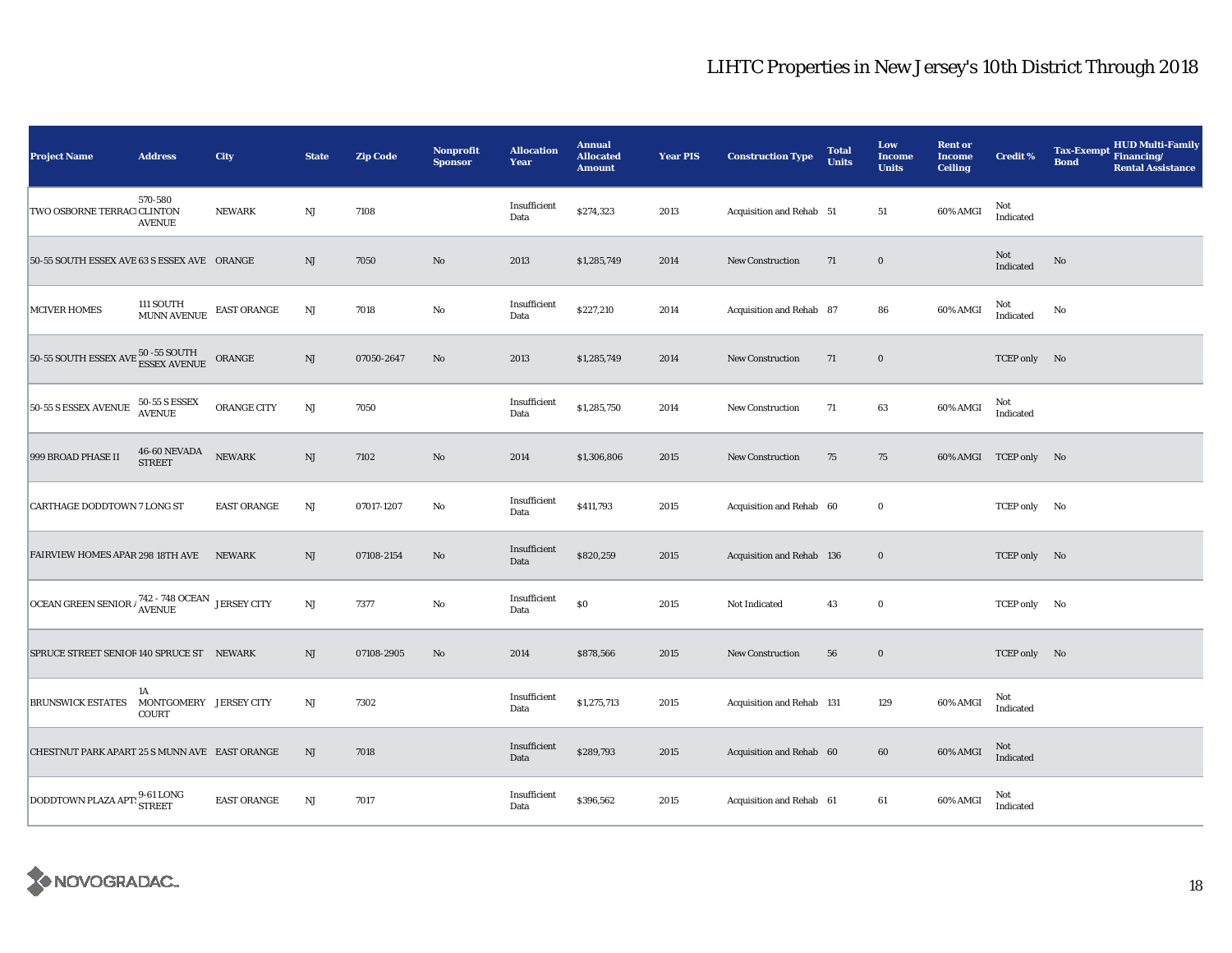| <b>Project Name</b>                                              | <b>Address</b>                               | <b>City</b>        | <b>State</b> | <b>Zip Code</b> | <b>Nonprofit</b><br><b>Sponsor</b> | <b>Allocation</b><br>Year | <b>Annual</b><br><b>Allocated</b><br><b>Amount</b> | <b>Year PIS</b> | <b>Construction Type</b>  | <b>Total</b><br><b>Units</b> | Low<br><b>Income</b><br><b>Units</b> | <b>Rent or</b><br><b>Income</b><br><b>Ceiling</b> | <b>Credit %</b>       | <b>HUD Multi-Family</b><br><b>Tax-Exempt</b><br>Financing/<br><b>Bond</b><br><b>Rental Assistance</b> |
|------------------------------------------------------------------|----------------------------------------------|--------------------|--------------|-----------------|------------------------------------|---------------------------|----------------------------------------------------|-----------------|---------------------------|------------------------------|--------------------------------------|---------------------------------------------------|-----------------------|-------------------------------------------------------------------------------------------------------|
| TWO OSBORNE TERRACI CLINTON                                      | 570-580<br><b>AVENUE</b>                     | <b>NEWARK</b>      | $\rm{NJ}$    | 7108            |                                    | Insufficient<br>Data      | \$274,323                                          | 2013            | Acquisition and Rehab 51  |                              | 51                                   | 60% AMGI                                          | Not<br>Indicated      |                                                                                                       |
| 50-55 SOUTH ESSEX AVE 63 S ESSEX AVE ORANGE                      |                                              |                    | NJ           | 7050            | $\mathbf{N}\mathbf{o}$             | 2013                      | \$1,285,749                                        | 2014            | <b>New Construction</b>   | 71                           | $\mathbf 0$                          |                                                   | Not<br>Indicated      | No                                                                                                    |
| <b>MCIVER HOMES</b>                                              | 111 SOUTH<br><b>MUNN AVENUE</b>              | <b>EAST ORANGE</b> | NJ           | 7018            | $\rm No$                           | Insufficient<br>Data      | \$227,210                                          | 2014            | Acquisition and Rehab 87  |                              | 86                                   | 60% AMGI                                          | Not<br>Indicated      | No                                                                                                    |
| 50-55 SOUTH ESSEX AVE 50 -55 SOUTH                               |                                              | ORANGE             | NJ           | 07050-2647      | No                                 | 2013                      | \$1,285,749                                        | 2014            | New Construction          | 71                           | $\bf{0}$                             |                                                   | TCEP only No          |                                                                                                       |
| 50-55 S ESSEX AVENUE                                             | <b>50-55 S ESSEX</b><br><b>AVENUE</b>        | ORANGE CITY        | NJ           | 7050            |                                    | Insufficient<br>Data      | \$1,285,750                                        | 2014            | New Construction          | 71                           | 63                                   | 60% AMGI                                          | Not<br>Indicated      |                                                                                                       |
| 999 BROAD PHASE II                                               | <b>46-60 NEVADA</b><br><b>STREET</b>         | <b>NEWARK</b>      | NJ           | 7102            | No                                 | 2014                      | \$1,306,806                                        | 2015            | New Construction          | 75                           | 75                                   |                                                   | 60% AMGI TCEP only No |                                                                                                       |
| <b>CARTHAGE DODDTOWN 7 LONG ST</b>                               |                                              | <b>EAST ORANGE</b> | NJ           | 07017-1207      | No                                 | Insufficient<br>Data      | \$411,793                                          | 2015            | Acquisition and Rehab 60  |                              | $\bf{0}$                             |                                                   | TCEP only No          |                                                                                                       |
| FAIRVIEW HOMES APAR 298 18TH AVE                                 |                                              | <b>NEWARK</b>      | NJ           | 07108-2154      | $\mathbf{N}\mathbf{o}$             | Insufficient<br>Data      | \$820,259                                          | 2015            | Acquisition and Rehab 136 |                              | $\mathbf 0$                          |                                                   | TCEP only No          |                                                                                                       |
| OCEAN GREEN SENIOR $\frac{742 - 748}{\text{AVENUE}}$ JERSEY CITY |                                              |                    | $\rm{NJ}$    | 7377            | No                                 | Insufficient<br>Data      | \$0                                                | 2015            | Not Indicated             | 43                           | $\bf{0}$                             |                                                   | TCEP only No          |                                                                                                       |
| SPRUCE STREET SENIOR 140 SPRUCE ST NEWARK                        |                                              |                    | NJ           | 07108-2905      | $\mathbf{N}\mathbf{o}$             | 2014                      | \$878,566                                          | 2015            | New Construction          | 56                           | $\mathbf 0$                          |                                                   | TCEP only No          |                                                                                                       |
| <b>BRUNSWICK ESTATES</b>                                         | 1A<br>MONTGOMERY JERSEY CITY<br><b>COURT</b> |                    | NJ           | 7302            |                                    | Insufficient<br>Data      | \$1,275,713                                        | 2015            | Acquisition and Rehab 131 |                              | 129                                  | 60% AMGI                                          | Not<br>Indicated      |                                                                                                       |
| CHESTNUT PARK APART 25 S MUNN AVE EAST ORANGE                    |                                              |                    | NJ           | 7018            |                                    | Insufficient<br>Data      | \$289,793                                          | 2015            | Acquisition and Rehab 60  |                              | 60                                   | 60% AMGI                                          | Not<br>Indicated      |                                                                                                       |
| DODDTOWN PLAZA APT: 9-61 LONG                                    |                                              | <b>EAST ORANGE</b> | NJ           | 7017            |                                    | Insufficient<br>Data      | \$396,562                                          | 2015            | Acquisition and Rehab 61  |                              | 61                                   | 60% AMGI                                          | Not<br>Indicated      |                                                                                                       |

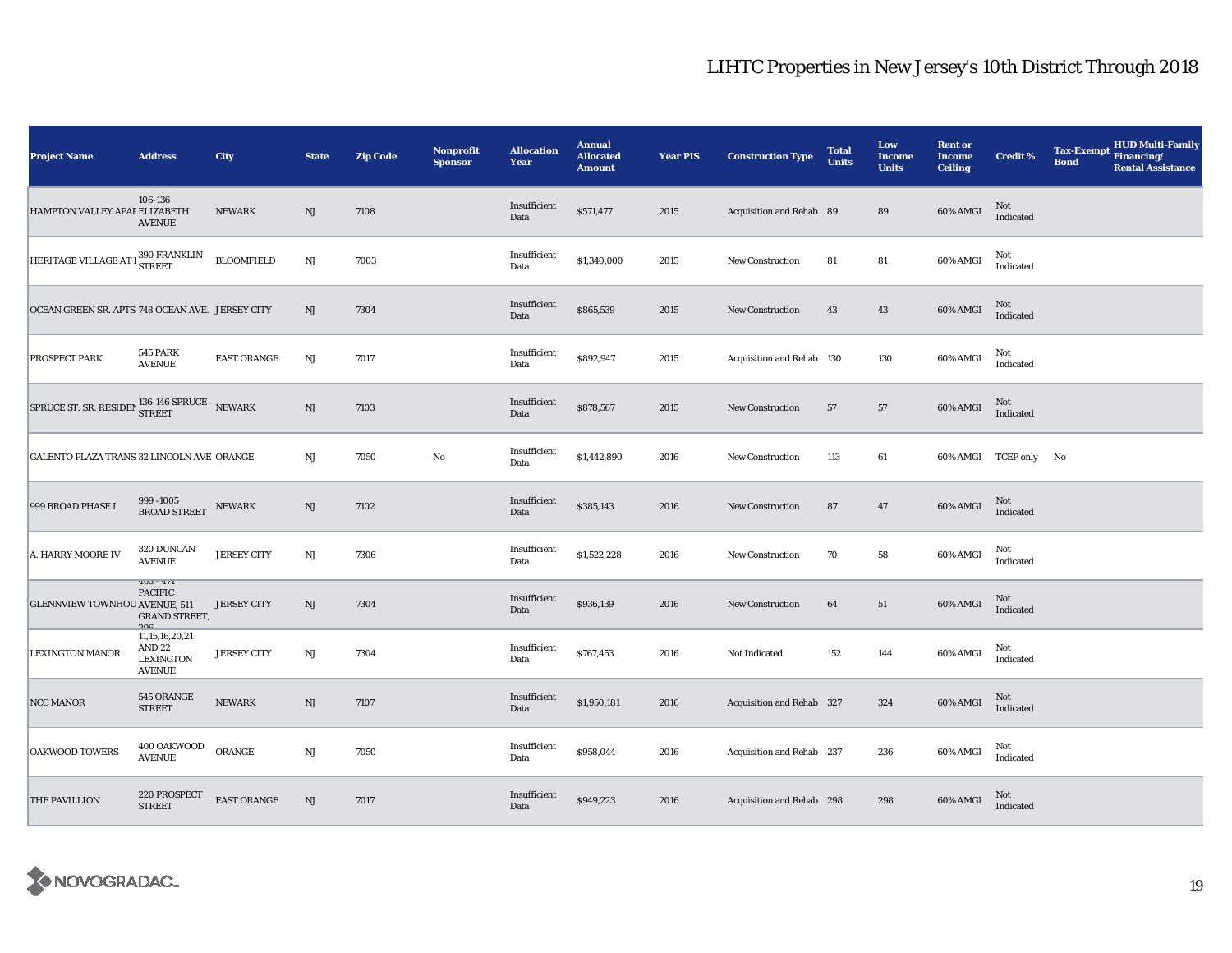| <b>Project Name</b>                                                                                                                                                                                                                                                 | <b>Address</b>                                                           | City               | <b>State</b>           | <b>Zip Code</b> | <b>Nonprofit</b><br><b>Sponsor</b> | <b>Allocation</b><br>Year | <b>Annual</b><br><b>Allocated</b><br><b>Amount</b> | <b>Year PIS</b> | <b>Construction Type</b>  | <b>Total</b><br><b>Units</b> | Low<br>Income<br><b>Units</b> | <b>Rent or</b><br><b>Income</b><br><b>Ceiling</b> | Credit %              | <b>Tax-Exempt</b><br><b>Bond</b> | <b>HUD Multi-Family</b><br>Financing/<br><b>Rental Assistance</b> |
|---------------------------------------------------------------------------------------------------------------------------------------------------------------------------------------------------------------------------------------------------------------------|--------------------------------------------------------------------------|--------------------|------------------------|-----------------|------------------------------------|---------------------------|----------------------------------------------------|-----------------|---------------------------|------------------------------|-------------------------------|---------------------------------------------------|-----------------------|----------------------------------|-------------------------------------------------------------------|
| HAMPTON VALLEY APAF ELIZABETH                                                                                                                                                                                                                                       | 106-136<br><b>AVENUE</b>                                                 | <b>NEWARK</b>      | NJ                     | 7108            |                                    | Insufficient<br>Data      | \$571,477                                          | 2015            | Acquisition and Rehab 89  |                              | 89                            | 60% AMGI                                          | Not<br>Indicated      |                                  |                                                                   |
| HERITAGE VILLAGE AT 1 390 FRANKLIN                                                                                                                                                                                                                                  |                                                                          | <b>BLOOMFIELD</b>  | NJ                     | 7003            |                                    | Insufficient<br>Data      | \$1,340,000                                        | 2015            | <b>New Construction</b>   | 81                           | ${\bf 81}$                    | 60% AMGI                                          | Not<br>Indicated      |                                  |                                                                   |
| OCEAN GREEN SR. APTS 748 OCEAN AVE. JERSEY CITY                                                                                                                                                                                                                     |                                                                          |                    | NJ                     | 7304            |                                    | Insufficient<br>Data      | \$865,539                                          | 2015            | <b>New Construction</b>   | 43                           | 43                            | 60% AMGI                                          | Not<br>Indicated      |                                  |                                                                   |
| PROSPECT PARK                                                                                                                                                                                                                                                       | <b>545 PARK</b><br><b>AVENUE</b>                                         | <b>EAST ORANGE</b> | NJ                     | 7017            |                                    | Insufficient<br>Data      | \$892,947                                          | 2015            | Acquisition and Rehab 130 |                              | 130                           | 60% AMGI                                          | Not<br>Indicated      |                                  |                                                                   |
| $\begin{tabular}{ll} \bf SPRUCE\ ST.\ SR.\ RESIDEN \end{tabular} \begin{tabular}{ll} \bf SPRUCE \end{tabular} \begin{tabular}{ll} \bf SPRUCE \end{tabular} \begin{tabular}{ll} \bf SPRUCE \end{tabular} \end{tabular} \begin{tabular}{ll} \bf SPRUCE \end{tabular}$ |                                                                          |                    | NJ                     | 7103            |                                    | Insufficient<br>Data      | \$878,567                                          | 2015            | New Construction          | 57                           | 57                            | 60% AMGI                                          | Not<br>Indicated      |                                  |                                                                   |
| GALENTO PLAZA TRANS 32 LINCOLN AVE ORANGE                                                                                                                                                                                                                           |                                                                          |                    | $_{\rm NJ}$            | 7050            | $\mathbf {No}$                     | Insufficient<br>Data      | \$1,442,890                                        | 2016            | <b>New Construction</b>   | 113                          | 61                            |                                                   | 60% AMGI TCEP only No |                                  |                                                                   |
| 999 BROAD PHASE I                                                                                                                                                                                                                                                   | 999-1005<br><b>BROAD STREET</b>                                          | NEWARK             | NJ                     | 7102            |                                    | Insufficient<br>Data      | \$385,143                                          | 2016            | <b>New Construction</b>   | 87                           | 47                            | 60% AMGI                                          | $\rm Not$ Indicated   |                                  |                                                                   |
| A. HARRY MOORE IV                                                                                                                                                                                                                                                   | 320 DUNCAN<br><b>AVENUE</b>                                              | <b>JERSEY CITY</b> | $_{\rm NJ}$            | 7306            |                                    | Insufficient<br>Data      | \$1,522,228                                        | 2016            | <b>New Construction</b>   | 70                           | 58                            | 60% AMGI                                          | Not<br>Indicated      |                                  |                                                                   |
| <b>GLENNVIEW TOWNHOU AVENUE, 511</b>                                                                                                                                                                                                                                | $403 - 411$<br><b>PACIFIC</b><br><b>GRAND STREET,</b><br>900             | <b>JERSEY CITY</b> | NJ                     | 7304            |                                    | Insufficient<br>Data      | \$936,139                                          | 2016            | New Construction          | 64                           | 51                            | 60% AMGI                                          | Not<br>Indicated      |                                  |                                                                   |
| <b>LEXINGTON MANOR</b>                                                                                                                                                                                                                                              | 11,15,16,20,21<br>AND <sub>22</sub><br><b>LEXINGTON</b><br><b>AVENUE</b> | <b>JERSEY CITY</b> | NJ                     | 7304            |                                    | Insufficient<br>Data      | \$767,453                                          | 2016            | Not Indicated             | 152                          | 144                           | 60% AMGI                                          | Not<br>Indicated      |                                  |                                                                   |
| <b>NCC MANOR</b>                                                                                                                                                                                                                                                    | 545 ORANGE<br><b>STREET</b>                                              | <b>NEWARK</b>      | NJ                     | 7107            |                                    | Insufficient<br>Data      | \$1,950,181                                        | 2016            | Acquisition and Rehab 327 |                              | 324                           | 60% AMGI                                          | Not<br>Indicated      |                                  |                                                                   |
| <b>OAKWOOD TOWERS</b>                                                                                                                                                                                                                                               | 400 OAKWOOD<br><b>AVENUE</b>                                             | ORANGE             | $\mathbf{N}\mathbf{J}$ | 7050            |                                    | Insufficient<br>Data      | \$958,044                                          | 2016            | Acquisition and Rehab 237 |                              | 236                           | 60% AMGI                                          | Not<br>Indicated      |                                  |                                                                   |
| <b>THE PAVILLION</b>                                                                                                                                                                                                                                                | 220 PROSPECT<br><b>STREET</b>                                            | EAST ORANGE        | $\mathbf{N}\mathbf{J}$ | 7017            |                                    | Insufficient<br>Data      | \$949,223                                          | 2016            | Acquisition and Rehab 298 |                              | 298                           | 60% AMGI                                          | Not<br>Indicated      |                                  |                                                                   |

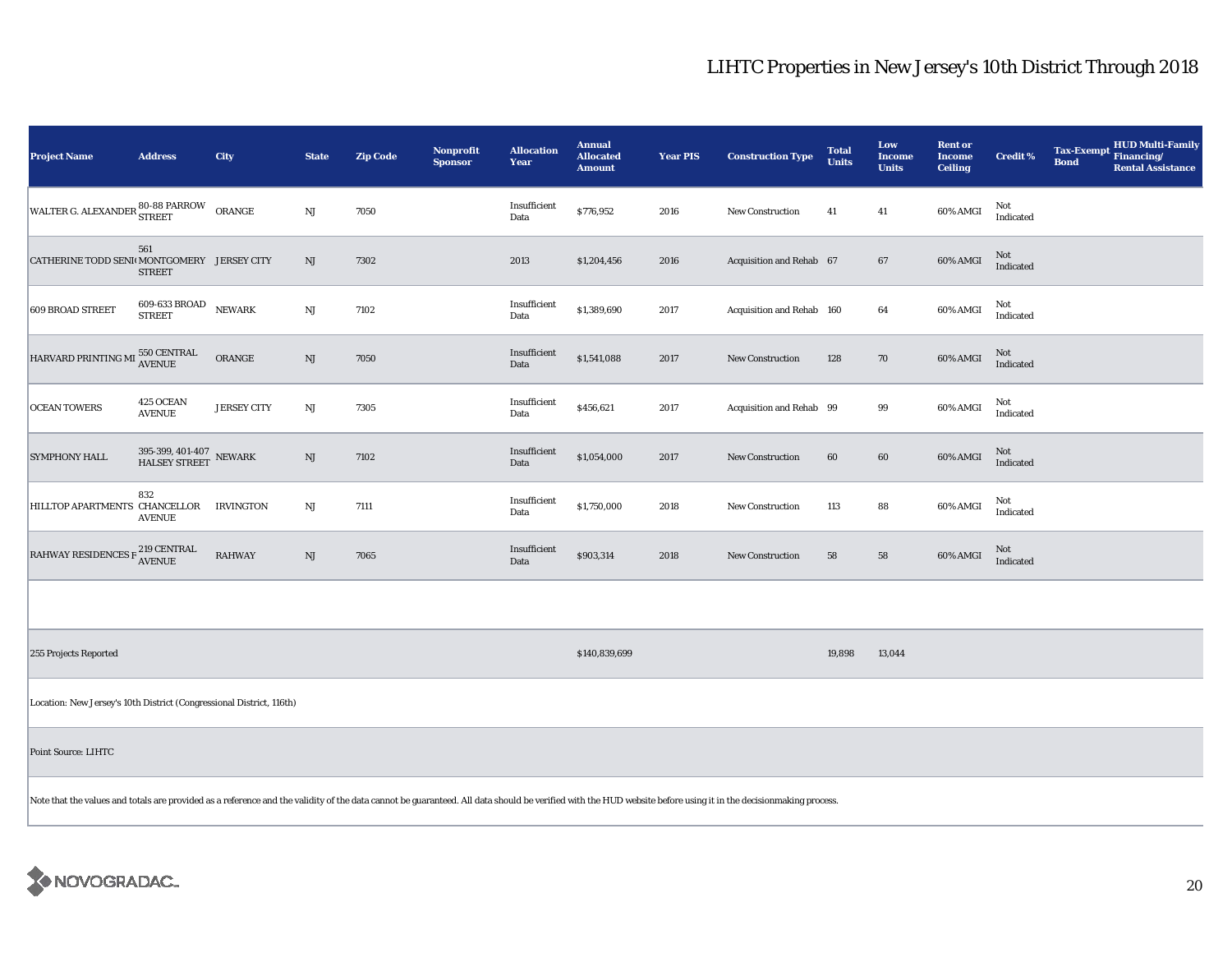| <b>Project Name</b>                                                                                                                                                                                            | <b>Address</b>                                                 | City               | <b>State</b> | <b>Zip Code</b> | Nonprofit<br><b>Sponsor</b> | <b>Allocation</b><br>Year | <b>Annual</b><br><b>Allocated</b><br><b>Amount</b> | <b>Year PIS</b> | <b>Construction Type</b>  | <b>Total</b><br><b>Units</b> | Low<br><b>Income</b><br><b>Units</b> | <b>Rent or</b><br><b>Income</b><br><b>Ceiling</b> | <b>Credit %</b>  | <b>HUD Multi-Family</b><br><b>Tax-Exempt</b><br>Financing/<br><b>Bond</b><br><b>Rental Assistance</b> |
|----------------------------------------------------------------------------------------------------------------------------------------------------------------------------------------------------------------|----------------------------------------------------------------|--------------------|--------------|-----------------|-----------------------------|---------------------------|----------------------------------------------------|-----------------|---------------------------|------------------------------|--------------------------------------|---------------------------------------------------|------------------|-------------------------------------------------------------------------------------------------------|
| WALTER G. ALEXANDER 80-88 PARROW                                                                                                                                                                               |                                                                | ORANGE             | $\rm{NJ}$    | 7050            |                             | Insufficient<br>Data      | \$776,952                                          | 2016            | New Construction          | 41                           | 41                                   | 60% AMGI                                          | Not<br>Indicated |                                                                                                       |
| CATHERINE TODD SENI MONTGOMERY JERSEY CITY                                                                                                                                                                     | 561<br><b>STREET</b>                                           |                    | NJ           | 7302            |                             | 2013                      | \$1,204,456                                        | 2016            | Acquisition and Rehab 67  |                              | 67                                   | 60% AMGI                                          | Not<br>Indicated |                                                                                                       |
| 609 BROAD STREET                                                                                                                                                                                               | $609\mbox{-}633\,\ensuremath{\mathrm{BROAD}}$<br><b>STREET</b> | <b>NEWARK</b>      | NJ           | 7102            |                             | Insufficient<br>Data      | \$1,389,690                                        | 2017            | Acquisition and Rehab 160 |                              | 64                                   | 60% AMGI                                          | Not<br>Indicated |                                                                                                       |
| HARVARD PRINTING MI                                                                                                                                                                                            | 550 CENTRAL<br>AVENUE                                          | ORANGE             | NJ           | 7050            |                             | Insufficient<br>Data      | \$1,541,088                                        | 2017            | <b>New Construction</b>   | 128                          | 70                                   | 60% AMGI                                          | Not<br>Indicated |                                                                                                       |
| <b>OCEAN TOWERS</b>                                                                                                                                                                                            | 425 OCEAN<br><b>AVENUE</b>                                     | <b>JERSEY CITY</b> | NJ           | 7305            |                             | Insufficient<br>Data      | \$456,621                                          | 2017            | Acquisition and Rehab 99  |                              | 99                                   | 60% AMGI                                          | Not<br>Indicated |                                                                                                       |
| <b>SYMPHONY HALL</b>                                                                                                                                                                                           | $395\text{-}399,\,401\text{-}407\,$ NEWARK HALSEY STREET       |                    | NJ           | 7102            |                             | Insufficient<br>Data      | \$1,054,000                                        | 2017            | New Construction          | 60                           | 60                                   | 60% AMGI                                          | Not<br>Indicated |                                                                                                       |
| HILLTOP APARTMENTS CHANCELLOR                                                                                                                                                                                  | 832<br><b>AVENUE</b>                                           | IRVINGTON          | NJ           | 7111            |                             | Insufficient<br>Data      | \$1,750,000                                        | 2018            | New Construction          | 113                          | 88                                   | 60% AMGI                                          | Not<br>Indicated |                                                                                                       |
| RAHWAY RESIDENCES F $^{219}_{\Lambda \text{VENUE}}$                                                                                                                                                            |                                                                | <b>RAHWAY</b>      | $\rm{NJ}$    | 7065            |                             | Insufficient<br>Data      | \$903,314                                          | 2018            | New Construction          | 58                           | 58                                   | 60% AMGI                                          | Not<br>Indicated |                                                                                                       |
|                                                                                                                                                                                                                |                                                                |                    |              |                 |                             |                           |                                                    |                 |                           |                              |                                      |                                                   |                  |                                                                                                       |
| 255 Projects Reported                                                                                                                                                                                          |                                                                |                    |              |                 |                             |                           | \$140,839,699                                      |                 |                           | 19,898                       | 13,044                               |                                                   |                  |                                                                                                       |
| Location: New Jersey's 10th District (Congressional District, 116th)                                                                                                                                           |                                                                |                    |              |                 |                             |                           |                                                    |                 |                           |                              |                                      |                                                   |                  |                                                                                                       |
| Point Source: LIHTC                                                                                                                                                                                            |                                                                |                    |              |                 |                             |                           |                                                    |                 |                           |                              |                                      |                                                   |                  |                                                                                                       |
| Note that the values and totals are provided as a reference and the validity of the data cannot be guaranteed. All data should be verified with the HUD website before using it in the decisionmaking process. |                                                                |                    |              |                 |                             |                           |                                                    |                 |                           |                              |                                      |                                                   |                  |                                                                                                       |